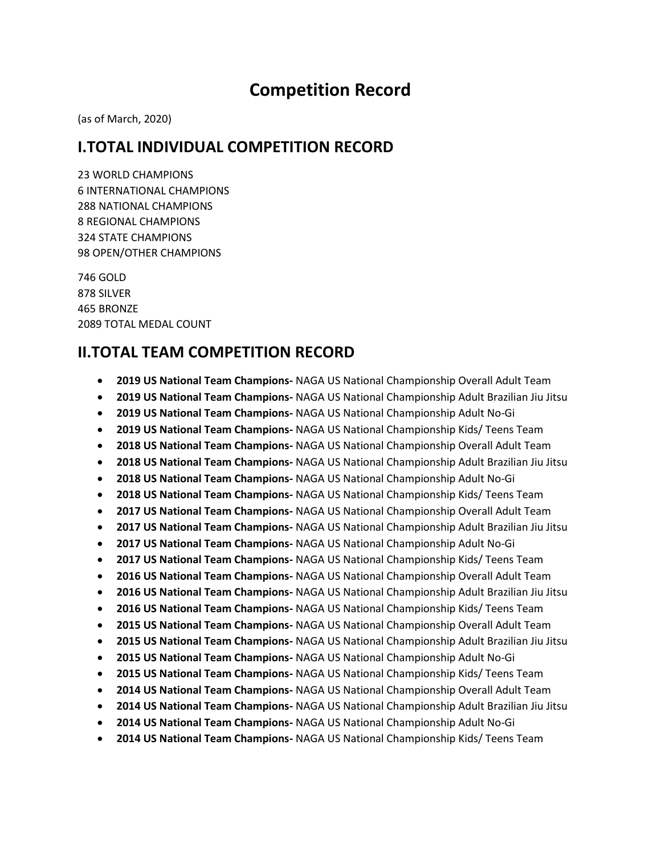# **Competition Record**

(as of March, 2020)

# **I.TOTAL INDIVIDUAL COMPETITION RECORD**

 WORLD CHAMPIONS INTERNATIONAL CHAMPIONS NATIONAL CHAMPIONS REGIONAL CHAMPIONS STATE CHAMPIONS 98 OPEN/OTHER CHAMPIONS

746 GOLD 878 SILVER 465 BRONZE 2089 TOTAL MEDAL COUNT

# **II.TOTAL TEAM COMPETITION RECORD**

- **2019 US National Team Champions-** NAGA US National Championship Overall Adult Team
- **2019 US National Team Champions-** NAGA US National Championship Adult Brazilian Jiu Jitsu
- **2019 US National Team Champions-** NAGA US National Championship Adult No-Gi
- **2019 US National Team Champions-** NAGA US National Championship Kids/ Teens Team
- **2018 US National Team Champions-** NAGA US National Championship Overall Adult Team
- **2018 US National Team Champions-** NAGA US National Championship Adult Brazilian Jiu Jitsu
- **2018 US National Team Champions-** NAGA US National Championship Adult No-Gi
- **2018 US National Team Champions-** NAGA US National Championship Kids/ Teens Team
- **2017 US National Team Champions-** NAGA US National Championship Overall Adult Team
- **2017 US National Team Champions-** NAGA US National Championship Adult Brazilian Jiu Jitsu
- **2017 US National Team Champions-** NAGA US National Championship Adult No-Gi
- **2017 US National Team Champions-** NAGA US National Championship Kids/ Teens Team
- **2016 US National Team Champions-** NAGA US National Championship Overall Adult Team
- **2016 US National Team Champions-** NAGA US National Championship Adult Brazilian Jiu Jitsu
- **2016 US National Team Champions-** NAGA US National Championship Kids/ Teens Team
- **2015 US National Team Champions-** NAGA US National Championship Overall Adult Team
- **2015 US National Team Champions-** NAGA US National Championship Adult Brazilian Jiu Jitsu
- **2015 US National Team Champions-** NAGA US National Championship Adult No-Gi
- **2015 US National Team Champions-** NAGA US National Championship Kids/ Teens Team
- **2014 US National Team Champions-** NAGA US National Championship Overall Adult Team
- **2014 US National Team Champions-** NAGA US National Championship Adult Brazilian Jiu Jitsu
- **2014 US National Team Champions-** NAGA US National Championship Adult No-Gi
- **2014 US National Team Champions-** NAGA US National Championship Kids/ Teens Team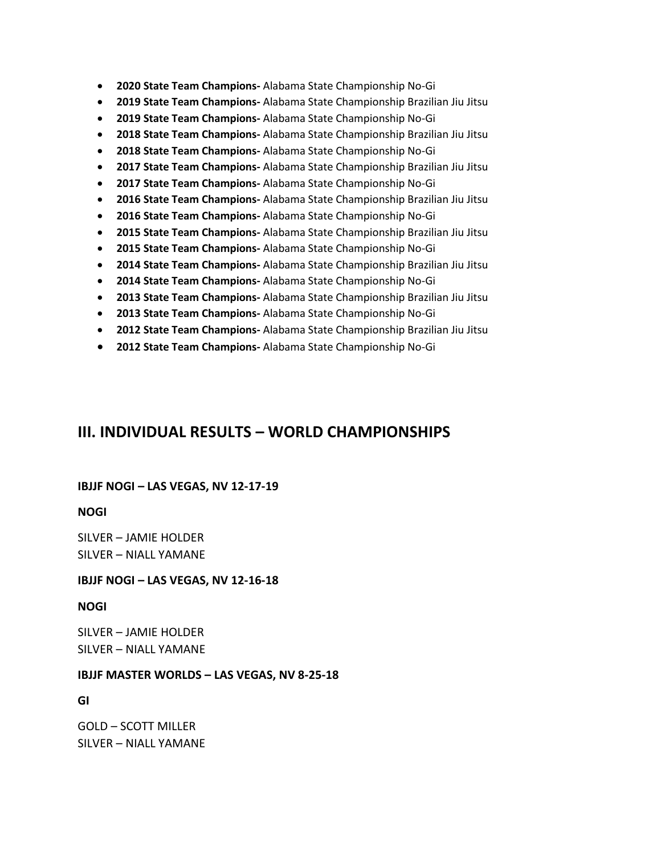- **2020 State Team Champions-** Alabama State Championship No-Gi
- **2019 State Team Champions-** Alabama State Championship Brazilian Jiu Jitsu
- **2019 State Team Champions-** Alabama State Championship No-Gi
- **2018 State Team Champions-** Alabama State Championship Brazilian Jiu Jitsu
- **2018 State Team Champions-** Alabama State Championship No-Gi
- **2017 State Team Champions-** Alabama State Championship Brazilian Jiu Jitsu
- **2017 State Team Champions-** Alabama State Championship No-Gi
- **2016 State Team Champions-** Alabama State Championship Brazilian Jiu Jitsu
- **2016 State Team Champions-** Alabama State Championship No-Gi
- **2015 State Team Champions-** Alabama State Championship Brazilian Jiu Jitsu
- **2015 State Team Champions-** Alabama State Championship No-Gi
- **2014 State Team Champions-** Alabama State Championship Brazilian Jiu Jitsu
- **2014 State Team Champions-** Alabama State Championship No-Gi
- **2013 State Team Champions-** Alabama State Championship Brazilian Jiu Jitsu
- **2013 State Team Champions-** Alabama State Championship No-Gi
- **2012 State Team Champions-** Alabama State Championship Brazilian Jiu Jitsu
- **2012 State Team Champions-** Alabama State Championship No-Gi

# **III. INDIVIDUAL RESULTS – WORLD CHAMPIONSHIPS**

## **IBJJF NOGI – LAS VEGAS, NV 12-17-19**

#### **NOGI**

SILVER – JAMIE HOLDER SILVER – NIALL YAMANE

#### **IBJJF NOGI – LAS VEGAS, NV 12-16-18**

## **NOGI**

SILVER – JAMIE HOLDER SILVER – NIALL YAMANE

#### **IBJJF MASTER WORLDS – LAS VEGAS, NV 8-25-18**

**GI**

GOLD – SCOTT MILLER SILVER – NIALL YAMANE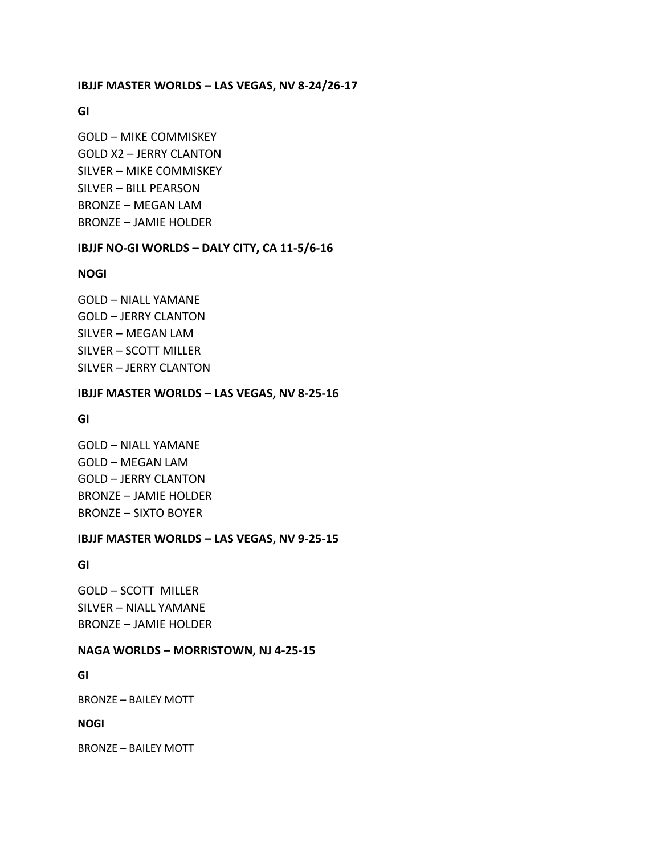#### **IBJJF MASTER WORLDS – LAS VEGAS, NV 8-24/26-17**

**GI**

GOLD – MIKE COMMISKEY GOLD X2 – JERRY CLANTON SILVER – MIKE COMMISKEY SILVER – BILL PEARSON BRONZE – MEGAN LAM BRONZE – JAMIE HOLDER

# **IBJJF NO-GI WORLDS – DALY CITY, CA 11-5/6-16**

#### **NOGI**

GOLD – NIALL YAMANE GOLD – JERRY CLANTON SILVER – MEGAN LAM SILVER – SCOTT MILLER SILVER – JERRY CLANTON

#### **IBJJF MASTER WORLDS – LAS VEGAS, NV 8-25-16**

#### **GI**

GOLD – NIALL YAMANE GOLD – MEGAN LAM GOLD – JERRY CLANTON BRONZE – JAMIE HOLDER BRONZE – SIXTO BOYER

#### **IBJJF MASTER WORLDS – LAS VEGAS, NV 9-25-15**

## **GI**

GOLD – SCOTT MILLER SILVER – NIALL YAMANE BRONZE – JAMIE HOLDER

#### **NAGA WORLDS – MORRISTOWN, NJ 4-25-15**

**GI**

BRONZE – BAILEY MOTT

**NOGI**

BRONZE – BAILEY MOTT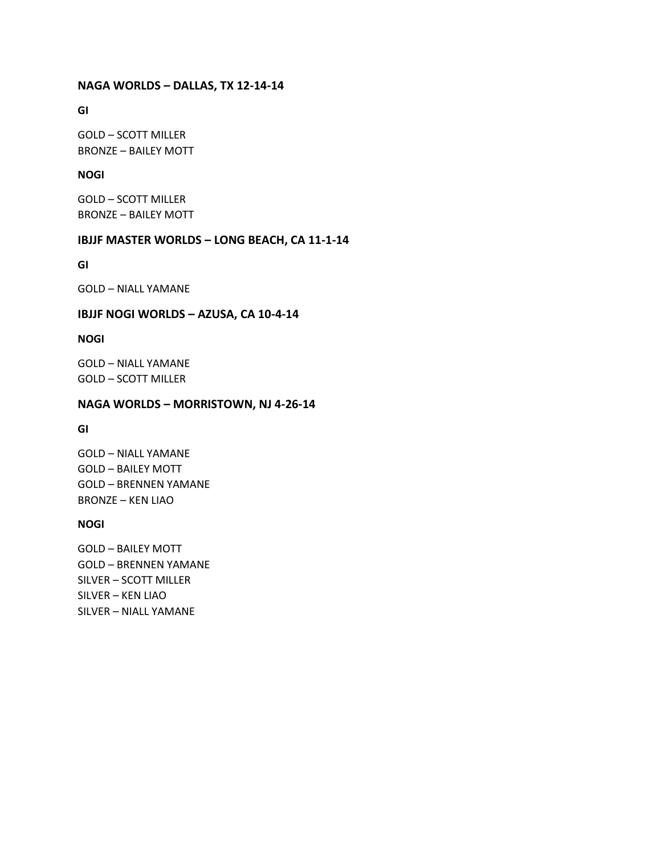#### **NAGA WORLDS – DALLAS, TX 12-14-14**

# **GI**

GOLD – SCOTT MILLER BRONZE – BAILEY MOTT

## **NOGI**

GOLD – SCOTT MILLER BRONZE – BAILEY MOTT

## **IBJJF MASTER WORLDS – LONG BEACH, CA 11-1-14**

**GI**

GOLD – NIALL YAMANE

#### **IBJJF NOGI WORLDS – AZUSA, CA 10-4-14**

#### **NOGI**

GOLD – NIALL YAMANE GOLD – SCOTT MILLER

#### **NAGA WORLDS – MORRISTOWN, NJ 4-26-14**

## **GI**

GOLD – NIALL YAMANE GOLD – BAILEY MOTT GOLD – BRENNEN YAMANE BRONZE – KEN LIAO

## **NOGI**

GOLD – BAILEY MOTT GOLD – BRENNEN YAMANE SILVER – SCOTT MILLER SILVER – KEN LIAO SILVER – NIALL YAMANE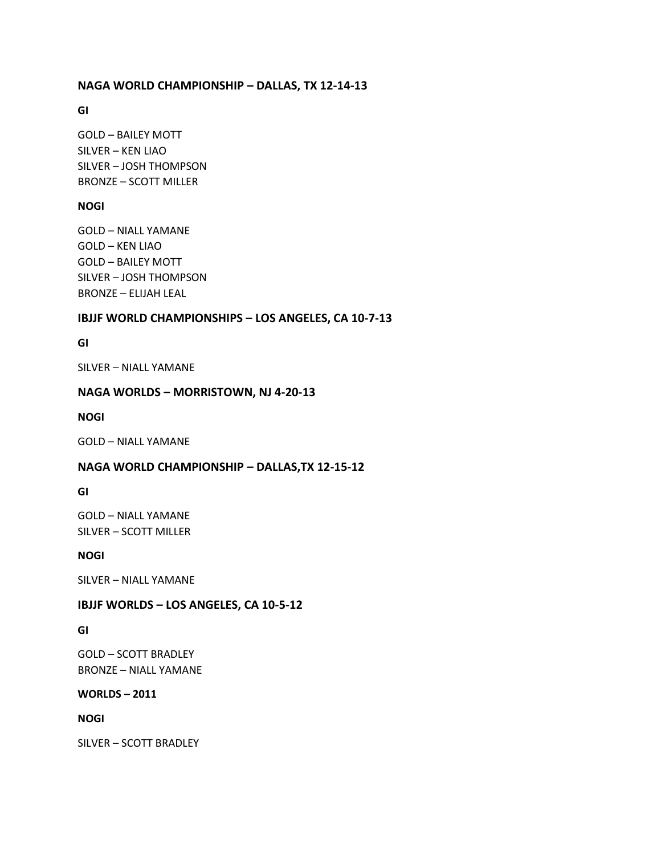## **NAGA WORLD CHAMPIONSHIP – DALLAS, TX 12-14-13**

## **GI**

GOLD – BAILEY MOTT SILVER – KEN LIAO SILVER – JOSH THOMPSON BRONZE – SCOTT MILLER

# **NOGI**

GOLD – NIALL YAMANE GOLD – KEN LIAO GOLD – BAILEY MOTT SILVER – JOSH THOMPSON BRONZE – ELIJAH LEAL

## **IBJJF WORLD CHAMPIONSHIPS – LOS ANGELES, CA 10-7-13**

**GI**

SILVER – NIALL YAMANE

## **NAGA WORLDS – MORRISTOWN, NJ 4-20-13**

**NOGI**

GOLD – NIALL YAMANE

## **NAGA WORLD CHAMPIONSHIP – DALLAS,TX 12-15-12**

**GI**

GOLD – NIALL YAMANE SILVER – SCOTT MILLER

## **NOGI**

SILVER – NIALL YAMANE

## **IBJJF WORLDS – LOS ANGELES, CA 10-5-12**

## **GI**

GOLD – SCOTT BRADLEY BRONZE – NIALL YAMANE

# **WORLDS – 2011**

## **NOGI**

SILVER – SCOTT BRADLEY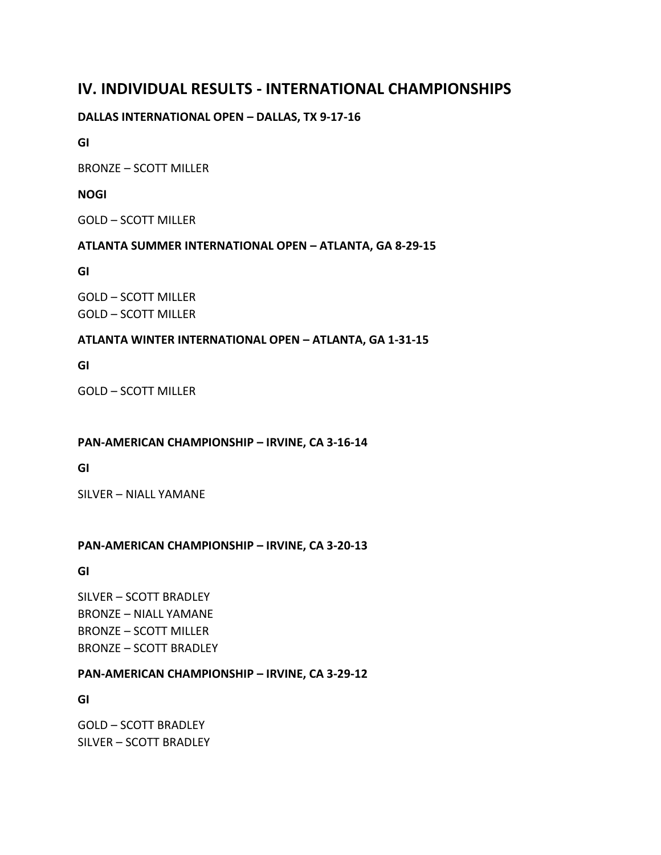# **IV. INDIVIDUAL RESULTS - INTERNATIONAL CHAMPIONSHIPS**

# **DALLAS INTERNATIONAL OPEN – DALLAS, TX 9-17-16**

**GI**

BRONZE – SCOTT MILLER

**NOGI**

GOLD – SCOTT MILLER

# **ATLANTA SUMMER INTERNATIONAL OPEN – ATLANTA, GA 8-29-15**

**GI**

GOLD – SCOTT MILLER GOLD – SCOTT MILLER

# **ATLANTA WINTER INTERNATIONAL OPEN – ATLANTA, GA 1-31-15**

**GI**

GOLD – SCOTT MILLER

# **PAN-AMERICAN CHAMPIONSHIP – IRVINE, CA 3-16-14**

**GI**

SILVER – NIALL YAMANE

# **PAN-AMERICAN CHAMPIONSHIP – IRVINE, CA 3-20-13**

**GI**

SILVER – SCOTT BRADLEY BRONZE – NIALL YAMANE BRONZE – SCOTT MILLER BRONZE – SCOTT BRADLEY

# **PAN-AMERICAN CHAMPIONSHIP – IRVINE, CA 3-29-12**

**GI**

GOLD – SCOTT BRADLEY SILVER – SCOTT BRADLEY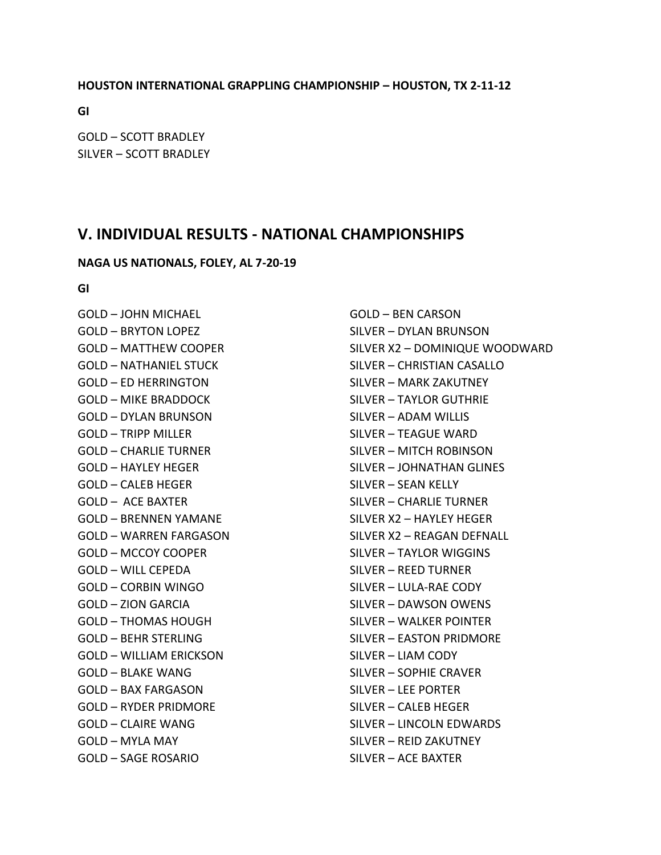**HOUSTON INTERNATIONAL GRAPPLING CHAMPIONSHIP – HOUSTON, TX 2-11-12**

**GI**

GOLD – SCOTT BRADLEY SILVER – SCOTT BRADLEY

# **V. INDIVIDUAL RESULTS - NATIONAL CHAMPIONSHIPS**

## **NAGA US NATIONALS, FOLEY, AL 7-20-19**

**GI**

GOLD – JOHN MICHAEL GOLD – BRYTON LOPEZ GOLD – MATTHEW COOPER GOLD – NATHANIEL STUCK GOLD – ED HERRINGTON GOLD – MIKE BRADDOCK GOLD – DYLAN BRUNSON GOLD – TRIPP MILLER GOLD – CHARLIE TURNER GOLD – HAYLEY HEGER GOLD – CALEB HEGER GOLD – ACE BAXTER GOLD – BRENNEN YAMANE GOLD – WARREN FARGASON GOLD – MCCOY COOPER GOLD – WILL CEPEDA GOLD – CORBIN WINGO GOLD – ZION GARCIA GOLD – THOMAS HOUGH GOLD – BEHR STERLING GOLD – WILLIAM ERICKSON GOLD – BLAKE WANG GOLD – BAX FARGASON GOLD – RYDER PRIDMORE GOLD – CLAIRE WANG GOLD – MYLA MAY GOLD – SAGE ROSARIO

GOLD – BEN CARSON SILVER – DYLAN BRUNSON SILVER X2 – DOMINIQUE WOODWARD SILVER – CHRISTIAN CASALLO SILVER – MARK ZAKUTNEY SILVER – TAYLOR GUTHRIE SILVER – ADAM WILLIS SILVER – TEAGUE WARD SILVER – MITCH ROBINSON SILVER – JOHNATHAN GLINES SILVER – SEAN KELLY SILVER – CHARLIE TURNER SILVER X2 – HAYLEY HEGER SILVER X2 – REAGAN DEFNALL SILVER – TAYLOR WIGGINS SILVER – REED TURNER SILVER – LULA-RAE CODY SILVER – DAWSON OWENS SILVER – WALKER POINTER SILVER – EASTON PRIDMORE SILVER – LIAM CODY SILVER – SOPHIE CRAVER SILVER – LEE PORTER SILVER – CALEB HEGER SILVER – LINCOLN EDWARDS SILVER – REID ZAKUTNEY SILVER – ACE BAXTER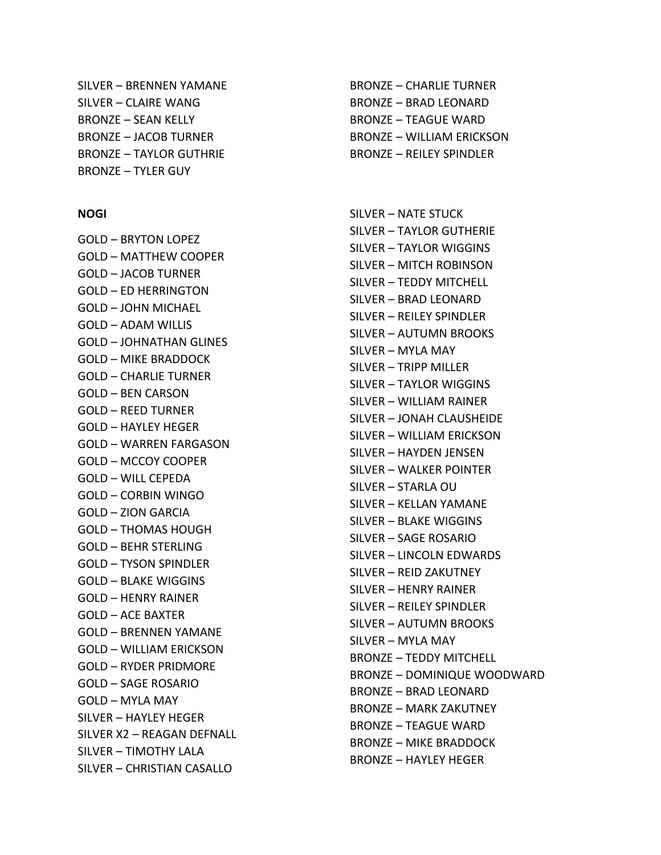SILVER – BRENNEN YAMANE SILVER – CLAIRE WANG BRONZE – SEAN KELLY BRONZE – JACOB TURNER BRONZE – TAYLOR GUTHRIE BRONZE – TYLER GUY

#### **NOGI**

GOLD – BRYTON LOPEZ GOLD – MATTHEW COOPER GOLD – JACOB TURNER GOLD – ED HERRINGTON GOLD – JOHN MICHAEL GOLD – ADAM WILLIS GOLD – JOHNATHAN GLINES GOLD – MIKE BRADDOCK GOLD – CHARLIE TURNER GOLD – BEN CARSON GOLD – REED TURNER GOLD – HAYLEY HEGER GOLD – WARREN FARGASON GOLD – MCCOY COOPER GOLD – WILL CEPEDA GOLD – CORBIN WINGO GOLD – ZION GARCIA GOLD – THOMAS HOUGH GOLD – BEHR STERLING GOLD – TYSON SPINDLER GOLD – BLAKE WIGGINS GOLD – HENRY RAINER GOLD – ACE BAXTER GOLD – BRENNEN YAMANE GOLD – WILLIAM ERICKSON GOLD – RYDER PRIDMORE GOLD – SAGE ROSARIO GOLD – MYLA MAY SILVER – HAYLEY HEGER SILVER X2 – REAGAN DEFNALL SILVER – TIMOTHY LALA SILVER – CHRISTIAN CASALLO

BRONZE – CHARLIE TURNER BRONZE – BRAD LEONARD BRONZE – TEAGUE WARD BRONZE – WILLIAM ERICKSON BRONZE – REILEY SPINDLER

SILVER – NATE STUCK SILVER – TAYLOR GUTHERIE SILVER – TAYLOR WIGGINS SILVER – MITCH ROBINSON SILVER – TEDDY MITCHELL SILVER – BRAD LEONARD SILVER – REILEY SPINDLER SILVER – AUTUMN BROOKS SILVER – MYLA MAY SILVER – TRIPP MILLER SILVER – TAYLOR WIGGINS SILVER – WILLIAM RAINER SILVER – JONAH CLAUSHEIDE SILVER – WILLIAM ERICKSON SILVER – HAYDEN JENSEN SILVER – WALKER POINTER SILVER – STARLA OU SILVER – KELLAN YAMANE SILVER – BLAKE WIGGINS SILVER – SAGE ROSARIO SILVER – LINCOLN EDWARDS SILVER – REID ZAKUTNEY SILVER – HENRY RAINER SILVER – REILEY SPINDLER SILVER – AUTUMN BROOKS SILVER – MYLA MAY BRONZE – TEDDY MITCHELL BRONZE – DOMINIQUE WOODWARD BRONZE – BRAD LEONARD BRONZE – MARK ZAKUTNEY BRONZE – TEAGUE WARD BRONZE – MIKE BRADDOCK BRONZE – HAYLEY HEGER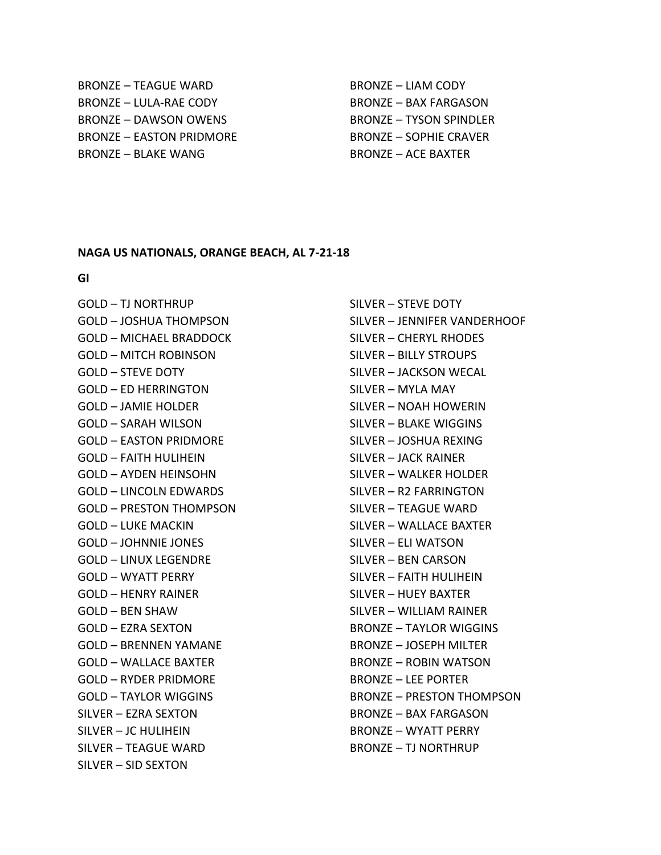BRONZE – TEAGUE WARD BRONZE – LULA-RAE CODY BRONZE – DAWSON OWENS BRONZE – EASTON PRIDMORE BRONZE – BLAKE WANG

BRONZE – LIAM CODY BRONZE – BAX FARGASON BRONZE – TYSON SPINDLER BRONZE – SOPHIE CRAVER BRONZE – ACE BAXTER

#### **NAGA US NATIONALS, ORANGE BEACH, AL 7-21-18**

**GI**

GOLD – TJ NORTHRUP GOLD – JOSHUA THOMPSON GOLD – MICHAEL BRADDOCK GOLD – MITCH ROBINSON GOLD – STEVE DOTY GOLD – ED HERRINGTON GOLD – JAMIE HOLDER GOLD – SARAH WILSON GOLD – EASTON PRIDMORE GOLD – FAITH HULIHEIN GOLD – AYDEN HEINSOHN GOLD – LINCOLN EDWARDS GOLD – PRESTON THOMPSON GOLD – LUKE MACKIN GOLD – JOHNNIE JONES GOLD – LINUX LEGENDRE GOLD – WYATT PERRY GOLD – HENRY RAINER GOLD – BEN SHAW GOLD – EZRA SEXTON GOLD – BRENNEN YAMANE GOLD – WALLACE BAXTER GOLD – RYDER PRIDMORE GOLD – TAYLOR WIGGINS SILVER – EZRA SEXTON SILVER – JC HULIHEIN SILVER – TEAGUE WARD SILVER – SID SEXTON

SILVER – STEVE DOTY SILVER – JENNIFER VANDERHOOF SILVER – CHERYL RHODES SILVER – BILLY STROUPS SILVER – JACKSON WECAL SILVER – MYLA MAY SILVER – NOAH HOWERIN SILVER – BLAKE WIGGINS SILVER – JOSHUA REXING SILVER – JACK RAINER SILVER – WALKER HOLDER SILVER – R2 FARRINGTON SILVER – TEAGUE WARD SILVER – WALLACE BAXTER SILVER – ELI WATSON SILVER – BEN CARSON SILVER – FAITH HULIHEIN SILVER – HUEY BAXTER SILVER – WILLIAM RAINER BRONZE – TAYLOR WIGGINS BRONZE – JOSEPH MILTER BRONZE – ROBIN WATSON BRONZE – LEE PORTER BRONZE – PRESTON THOMPSON BRONZE – BAX FARGASON BRONZE – WYATT PERRY BRONZE – TJ NORTHRUP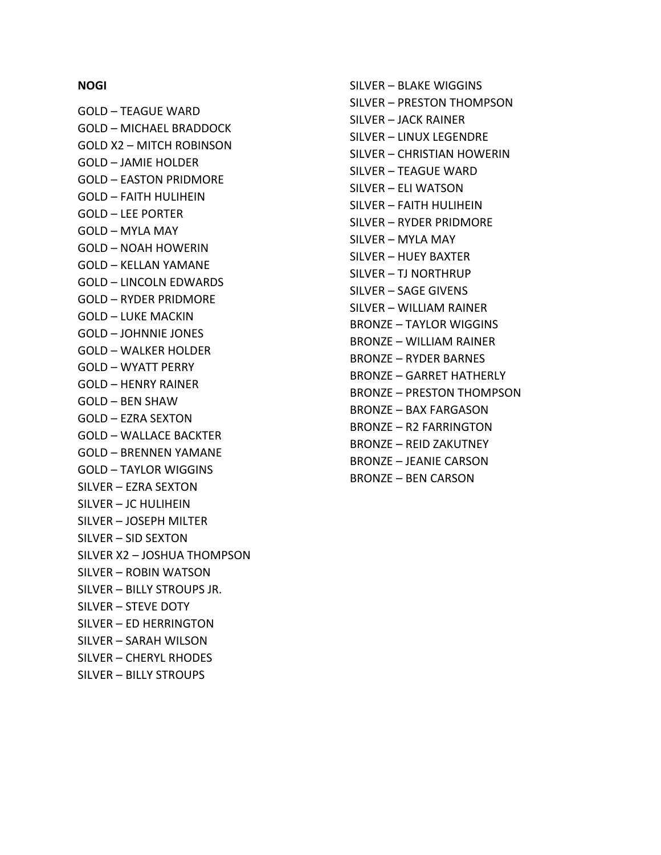#### **NOGI**

GOLD – TEAGUE WARD GOLD – MICHAEL BRADDOCK GOLD X2 – MITCH ROBINSON GOLD – JAMIE HOLDER GOLD – EASTON PRIDMORE GOLD – FAITH HULIHEIN GOLD – LEE PORTER GOLD – MYLA MAY GOLD – NOAH HOWERIN GOLD – KELLAN YAMANE GOLD – LINCOLN EDWARDS GOLD – RYDER PRIDMORE GOLD – LUKE MACKIN GOLD – JOHNNIE JONES GOLD – WALKER HOLDER GOLD – WYATT PERRY GOLD – HENRY RAINER GOLD – BEN SHAW GOLD – EZRA SEXTON GOLD – WALLACE BACKTER GOLD – BRENNEN YAMANE GOLD – TAYLOR WIGGINS SILVER – EZRA SEXTON SILVER – JC HULIHEIN SILVER – JOSEPH MILTER SILVER – SID SEXTON SILVER X2 – JOSHUA THOMPSON SILVER – ROBIN WATSON SILVER – BILLY STROUPS JR. SILVER – STEVE DOTY SILVER – ED HERRINGTON SILVER – SARAH WILSON SILVER – CHERYL RHODES SILVER – BILLY STROUPS

SILVER – BLAKE WIGGINS SILVER – PRESTON THOMPSON SILVER – JACK RAINER SILVER – LINUX LEGENDRE SILVER – CHRISTIAN HOWERIN SILVER – TEAGUE WARD SILVER – ELI WATSON SILVER – FAITH HULIHEIN SILVER – RYDER PRIDMORE SILVER – MYLA MAY SILVER – HUEY BAXTER SILVER – TJ NORTHRUP SILVER – SAGE GIVENS SILVER – WILLIAM RAINER BRONZE – TAYLOR WIGGINS BRONZE – WILLIAM RAINER BRONZE – RYDER BARNES BRONZE – GARRET HATHERLY BRONZE – PRESTON THOMPSON BRONZE – BAX FARGASON BRONZE – R2 FARRINGTON BRONZE – REID ZAKUTNEY BRONZE – JEANIE CARSON BRONZE – BEN CARSON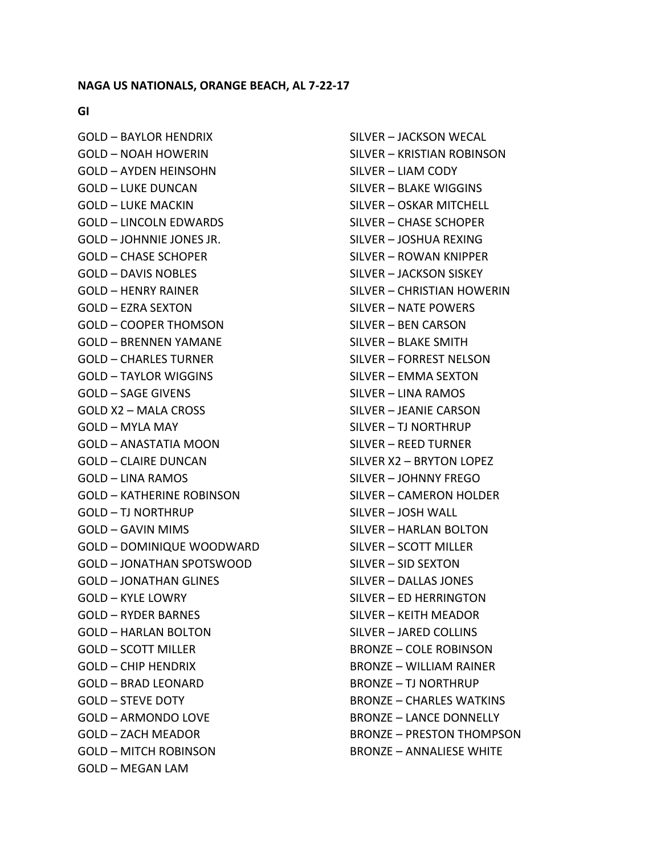**GI**

GOLD – BAYLOR HENDRIX GOLD – NOAH HOWERIN GOLD – AYDEN HEINSOHN GOLD – LUKE DUNCAN GOLD – LUKE MACKIN GOLD – LINCOLN EDWARDS GOLD – JOHNNIE JONES JR. GOLD – CHASE SCHOPER GOLD – DAVIS NOBLES GOLD – HENRY RAINER GOLD – EZRA SEXTON GOLD – COOPER THOMSON GOLD – BRENNEN YAMANE GOLD – CHARLES TURNER GOLD – TAYLOR WIGGINS GOLD – SAGE GIVENS GOLD X2 – MALA CROSS GOLD – MYLA MAY GOLD – ANASTATIA MOON GOLD – CLAIRE DUNCAN GOLD – LINA RAMOS GOLD – KATHERINE ROBINSON GOLD – TJ NORTHRUP GOLD – GAVIN MIMS GOLD – DOMINIQUE WOODWARD GOLD – JONATHAN SPOTSWOOD GOLD – JONATHAN GLINES GOLD – KYLE LOWRY GOLD – RYDER BARNES GOLD – HARLAN BOLTON GOLD – SCOTT MILLER GOLD – CHIP HENDRIX GOLD – BRAD LEONARD GOLD – STEVE DOTY GOLD – ARMONDO LOVE GOLD – ZACH MEADOR GOLD – MITCH ROBINSON GOLD – MEGAN LAM

SILVER – JACKSON WECAL SILVER – KRISTIAN ROBINSON SILVER – LIAM CODY SILVER – BLAKE WIGGINS SILVER – OSKAR MITCHELL SILVER – CHASE SCHOPER SILVER – JOSHUA REXING SILVER – ROWAN KNIPPER SILVER – JACKSON SISKEY SILVER – CHRISTIAN HOWERIN SILVER – NATE POWERS SILVER – BEN CARSON SILVER – BLAKE SMITH SILVER – FORREST NELSON SILVER – EMMA SEXTON SILVER – LINA RAMOS SILVER – JEANIE CARSON SILVER – TJ NORTHRUP SILVER – REED TURNER SILVER X2 – BRYTON LOPEZ SILVER – JOHNNY FREGO SILVER – CAMERON HOLDER SILVER – JOSH WALL SILVER – HARLAN BOLTON SILVER – SCOTT MILLER SILVER – SID SEXTON SILVER – DALLAS JONES SILVER – ED HERRINGTON SILVER – KEITH MEADOR SILVER – JARED COLLINS BRONZE – COLE ROBINSON BRONZE – WILLIAM RAINER BRONZE – TJ NORTHRUP BRONZE – CHARLES WATKINS BRONZE – LANCE DONNELLY BRONZE – PRESTON THOMPSON BRONZE – ANNALIESE WHITE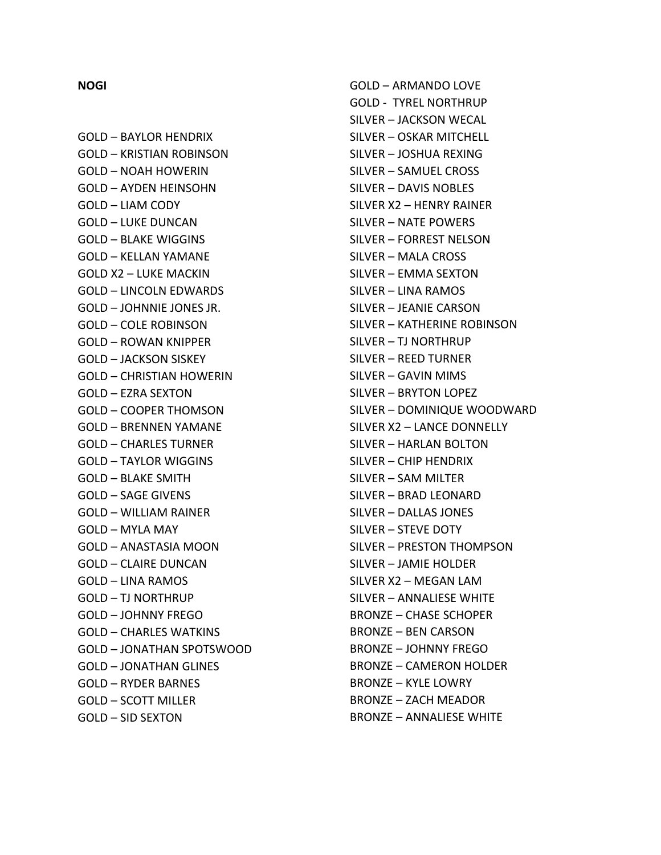#### **NOGI**

GOLD – BAYLOR HENDRIX GOLD – KRISTIAN ROBINSON GOLD – NOAH HOWERIN GOLD – AYDEN HEINSOHN GOLD – LIAM CODY GOLD – LUKE DUNCAN GOLD – BLAKE WIGGINS GOLD – KELLAN YAMANE GOLD X2 – LUKE MACKIN GOLD – LINCOLN EDWARDS GOLD – JOHNNIE JONES JR. GOLD – COLE ROBINSON GOLD – ROWAN KNIPPER GOLD – JACKSON SISKEY GOLD – CHRISTIAN HOWERIN GOLD – EZRA SEXTON GOLD – COOPER THOMSON GOLD – BRENNEN YAMANE GOLD – CHARLES TURNER GOLD – TAYLOR WIGGINS GOLD – BLAKE SMITH GOLD – SAGE GIVENS GOLD – WILLIAM RAINER GOLD – MYLA MAY GOLD – ANASTASIA MOON GOLD – CLAIRE DUNCAN GOLD – LINA RAMOS GOLD – TJ NORTHRUP GOLD – JOHNNY FREGO GOLD – CHARLES WATKINS GOLD – JONATHAN SPOTSWOOD GOLD – JONATHAN GLINES GOLD – RYDER BARNES GOLD – SCOTT MILLER GOLD – SID SEXTON

GOLD – ARMANDO LOVE GOLD - TYREL NORTHRUP SILVER – JACKSON WECAL SILVER – OSKAR MITCHELL SILVER – JOSHUA REXING SILVER – SAMUEL CROSS SILVER – DAVIS NOBLES SILVER X2 – HENRY RAINER SILVER – NATE POWERS SILVER – FORREST NELSON SILVER – MALA CROSS SILVER – EMMA SEXTON SILVER – LINA RAMOS SILVER – JEANIE CARSON SILVER – KATHERINE ROBINSON SILVER – TJ NORTHRUP SILVER – REED TURNER SILVER – GAVIN MIMS SILVER – BRYTON LOPEZ SILVER – DOMINIQUE WOODWARD SILVER X2 – LANCE DONNELLY SILVER – HARLAN BOLTON SILVER – CHIP HENDRIX SILVER – SAM MILTER SILVER – BRAD LEONARD SILVER – DALLAS JONES SILVER – STEVE DOTY SILVER – PRESTON THOMPSON SILVER – JAMIE HOLDER SILVER X2 – MEGAN LAM SILVER – ANNALIESE WHITE BRONZE – CHASE SCHOPER BRONZE – BEN CARSON BRONZE – JOHNNY FREGO BRONZE – CAMERON HOLDER BRONZE – KYLE LOWRY BRONZE – ZACH MEADOR BRONZE – ANNALIESE WHITE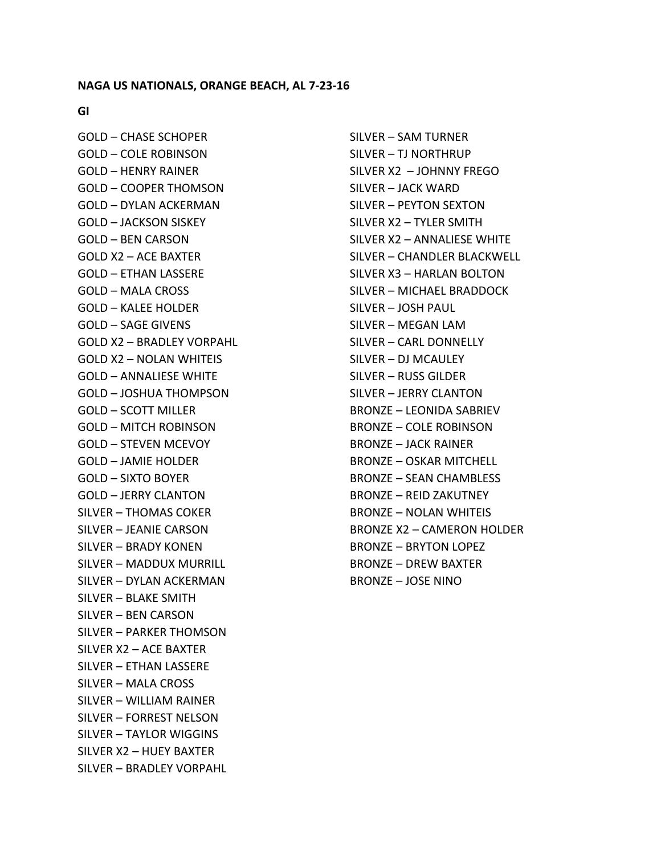**GI** 

GOLD – CHASE SCHOPER GOLD – COLE ROBINSON GOLD – HENRY RAINER GOLD – COOPER THOMSON GOLD – DYLAN ACKERMAN GOLD – JACKSON SISKEY GOLD – BEN CARSON GOLD X2 – ACE BAXTER GOLD – ETHAN LASSERE GOLD – MALA CROSS GOLD – KALEE HOLDER GOLD – SAGE GIVENS GOLD X2 – BRADLEY VORPAHL GOLD X2 – NOLAN WHITEIS GOLD – ANNALIESE WHITE GOLD – JOSHUA THOMPSON GOLD – SCOTT MILLER GOLD – MITCH ROBINSON GOLD – STEVEN MCEVOY GOLD – JAMIE HOLDER GOLD – SIXTO BOYER GOLD – JERRY CLANTON SILVER – THOMAS COKER SILVER – JEANIE CARSON SILVER – BRADY KONEN SILVER – MADDUX MURRILL SILVER – DYLAN ACKERMAN SILVER – BLAKE SMITH SILVER – BEN CARSON SILVER – PARKER THOMSON SILVER X2 – ACE BAXTER SILVER – ETHAN LASSERE SILVER – MALA CROSS SILVER – WILLIAM RAINER SILVER – FORREST NELSON SILVER – TAYLOR WIGGINS SILVER X2 – HUEY BAXTER SILVER – BRADLEY VORPAHL

SILVER – SAM TURNER SILVER – TJ NORTHRUP SILVER X2 – JOHNNY FREGO SILVER – JACK WARD SILVER – PEYTON SEXTON SILVER X2 – TYLER SMITH SILVER X2 – ANNALIESE WHITE SILVER – CHANDLER BLACKWELL SILVER X3 – HARLAN BOLTON SILVER – MICHAEL BRADDOCK SILVER – JOSH PAUL SILVER – MEGAN LAM SILVER – CARL DONNELLY SILVER – DJ MCAULEY SILVER – RUSS GILDER SILVER – JERRY CLANTON BRONZE – LEONIDA SABRIEV BRONZE – COLE ROBINSON BRONZE – JACK RAINER BRONZE – OSKAR MITCHELL BRONZE – SEAN CHAMBLESS BRONZE – REID ZAKUTNEY BRONZE – NOLAN WHITEIS BRONZE X2 – CAMERON HOLDER BRONZE – BRYTON LOPEZ BRONZE – DREW BAXTER BRONZE – JOSE NINO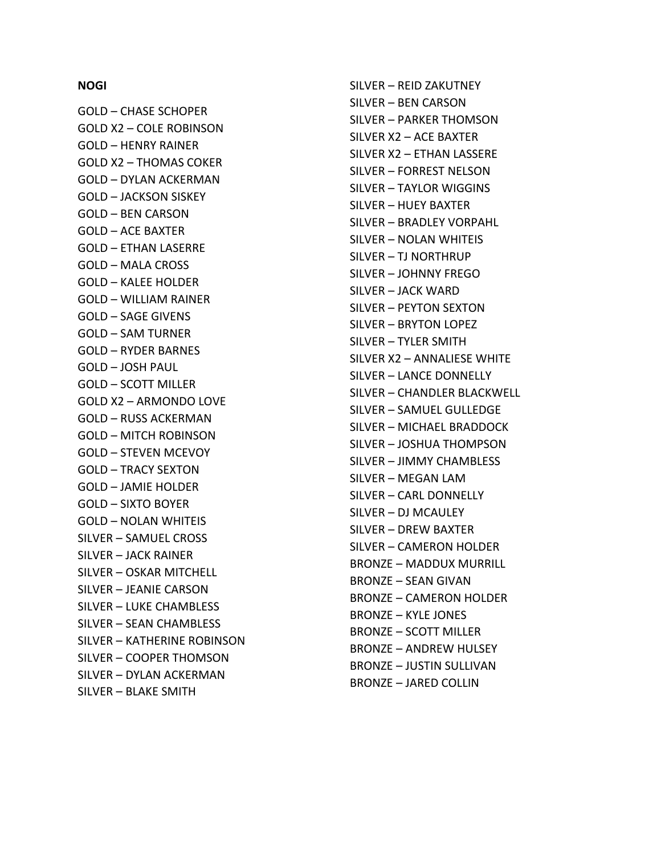#### **NOGI**

GOLD – CHASE SCHOPER GOLD X2 – COLE ROBINSON GOLD – HENRY RAINER GOLD X2 – THOMAS COKER GOLD – DYLAN ACKERMAN GOLD – JACKSON SISKEY GOLD – BEN CARSON GOLD – ACE BAXTER GOLD – ETHAN LASERRE GOLD – MALA CROSS GOLD – KALEE HOLDER GOLD – WILLIAM RAINER GOLD – SAGE GIVENS GOLD – SAM TURNER GOLD – RYDER BARNES GOLD – JOSH PAUL GOLD – SCOTT MILLER GOLD X2 – ARMONDO LOVE GOLD – RUSS ACKERMAN GOLD – MITCH ROBINSON GOLD – STEVEN MCEVOY GOLD – TRACY SEXTON GOLD – JAMIE HOLDER GOLD – SIXTO BOYER GOLD – NOLAN WHITEIS SILVER – SAMUEL CROSS SILVER – JACK RAINER SILVER – OSKAR MITCHELL SILVER – JEANIE CARSON SILVER – LUKE CHAMBLESS SILVER – SEAN CHAMBLESS SILVER – KATHERINE ROBINSON SILVER – COOPER THOMSON SILVER – DYLAN ACKERMAN SILVER – BLAKE SMITH

SILVER – REID ZAKUTNEY SILVER – BEN CARSON SILVER – PARKER THOMSON SILVER X2 – ACE BAXTER SILVER X2 – ETHAN LASSERE SILVER – FORREST NELSON SILVER – TAYLOR WIGGINS SILVER – HUEY BAXTER SILVER – BRADLEY VORPAHL SILVER – NOLAN WHITEIS SILVER – TJ NORTHRUP SILVER – JOHNNY FREGO SILVER – JACK WARD SILVER – PEYTON SEXTON SILVER – BRYTON LOPEZ SILVER – TYLER SMITH SILVER X2 – ANNALIESE WHITE SILVER – LANCE DONNELLY SILVER – CHANDLER BLACKWELL SILVER – SAMUEL GULLEDGE SILVER – MICHAEL BRADDOCK SILVER – JOSHUA THOMPSON SILVER – JIMMY CHAMBLESS SILVER – MEGAN LAM SILVER – CARL DONNELLY SILVER – DJ MCAULEY SILVER – DREW BAXTER SILVER – CAMERON HOLDER BRONZE – MADDUX MURRILL BRONZE – SEAN GIVAN BRONZE – CAMERON HOLDER BRONZE – KYLE JONES BRONZE – SCOTT MILLER BRONZE – ANDREW HULSEY BRONZE – JUSTIN SULLIVAN BRONZE – JARED COLLIN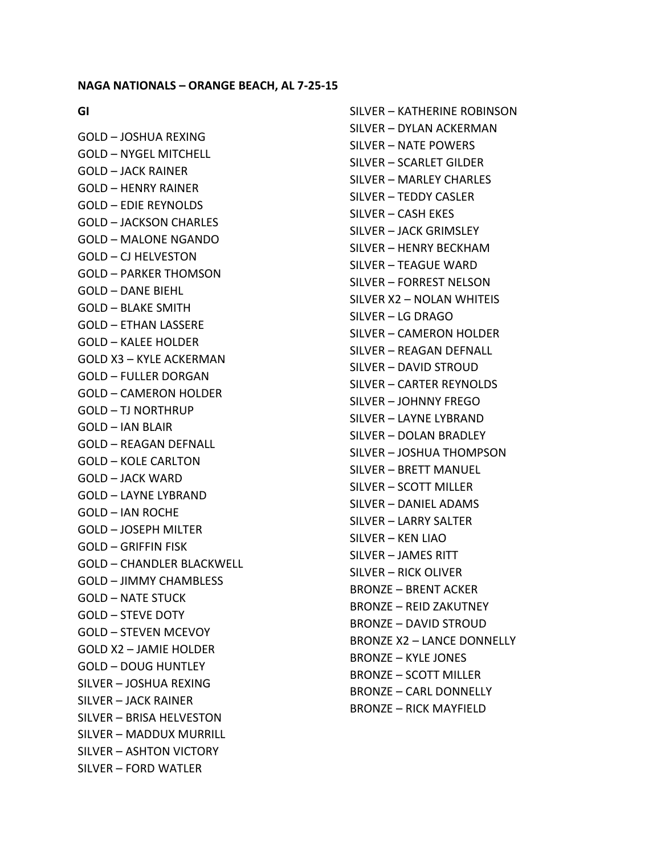**GI**

GOLD – JOSHUA REXING GOLD – NYGEL MITCHELL GOLD – JACK RAINER GOLD – HENRY RAINER GOLD – EDIE REYNOLDS GOLD – JACKSON CHARLES GOLD – MALONE NGANDO GOLD – CJ HELVESTON GOLD – PARKER THOMSON GOLD – DANE BIEHL GOLD – BLAKE SMITH GOLD – ETHAN LASSERE GOLD – KALEE HOLDER GOLD X3 – KYLE ACKERMAN GOLD – FULLER DORGAN GOLD – CAMERON HOLDER GOLD – TJ NORTHRUP GOLD – IAN BLAIR GOLD – REAGAN DEFNALL GOLD – KOLE CARLTON GOLD – JACK WARD GOLD – LAYNE LYBRAND GOLD – IAN ROCHE GOLD – JOSEPH MILTER GOLD – GRIFFIN FISK GOLD – CHANDLER BLACKWELL GOLD – JIMMY CHAMBLESS GOLD – NATE STUCK GOLD – STEVE DOTY GOLD – STEVEN MCEVOY GOLD X2 – JAMIE HOLDER GOLD – DOUG HUNTLEY SILVER – JOSHUA REXING SILVER – JACK RAINER SILVER – BRISA HELVESTON SILVER – MADDUX MURRILL SILVER – ASHTON VICTORY SILVER – FORD WATLER

SILVER – KATHERINE ROBINSON SILVER – DYLAN ACKERMAN SILVER – NATE POWERS SILVER – SCARLET GILDER SILVER – MARLEY CHARLES SILVER – TEDDY CASLER SILVER – CASH EKES SILVER – JACK GRIMSLEY SILVER – HENRY BECKHAM SILVER – TEAGUE WARD SILVER – FORREST NELSON SILVER X2 – NOLAN WHITEIS SILVER – LG DRAGO SILVER – CAMERON HOLDER SILVER – REAGAN DEFNALL SILVER – DAVID STROUD SILVER – CARTER REYNOLDS SILVER – JOHNNY FREGO SILVER – LAYNE LYBRAND SILVER – DOLAN BRADLEY SILVER – JOSHUA THOMPSON SILVER – BRETT MANUEL SILVER – SCOTT MILLER SILVER – DANIEL ADAMS SILVER – LARRY SALTER SILVER – KEN LIAO SILVER – JAMES RITT SILVER – RICK OLIVER BRONZE – BRENT ACKER BRONZE – REID ZAKUTNEY BRONZE – DAVID STROUD BRONZE X2 – LANCE DONNELLY BRONZE – KYLE JONES BRONZE – SCOTT MILLER BRONZE – CARL DONNELLY BRONZE – RICK MAYFIELD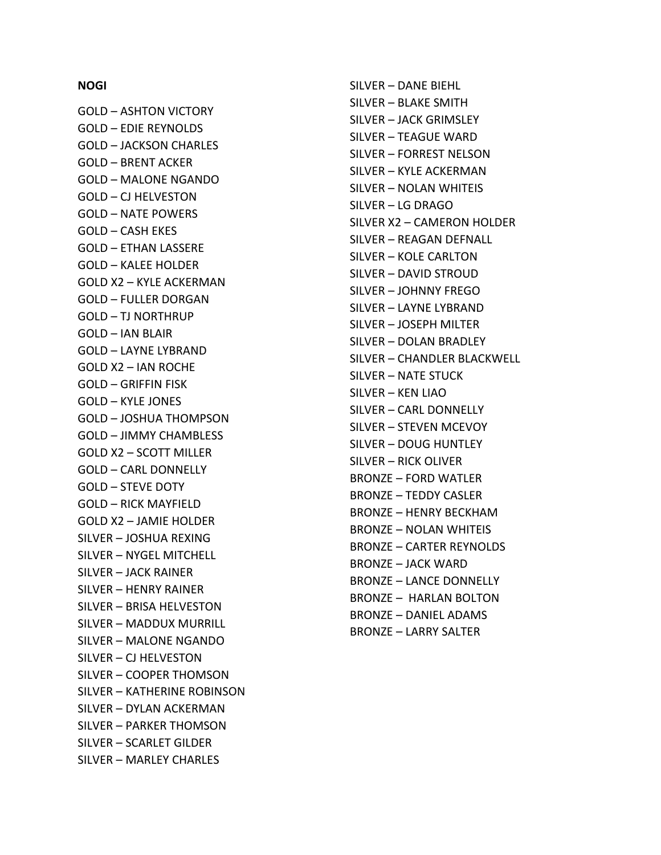#### **NOGI**

GOLD – ASHTON VICTORY GOLD – EDIE REYNOLDS GOLD – JACKSON CHARLES GOLD – BRENT ACKER GOLD – MALONE NGANDO GOLD – CJ HELVESTON GOLD – NATE POWERS GOLD – CASH EKES GOLD – ETHAN LASSERE GOLD – KALEE HOLDER GOLD X2 – KYLE ACKERMAN GOLD – FULLER DORGAN GOLD – TJ NORTHRUP GOLD – IAN BLAIR GOLD – LAYNE LYBRAND GOLD X2 – IAN ROCHE GOLD – GRIFFIN FISK GOLD – KYLE JONES GOLD – JOSHUA THOMPSON GOLD – JIMMY CHAMBLESS GOLD X2 – SCOTT MILLER GOLD – CARL DONNELLY GOLD – STEVE DOTY GOLD – RICK MAYFIELD GOLD X2 – JAMIE HOLDER SILVER – JOSHUA REXING SILVER – NYGEL MITCHELL SILVER – JACK RAINER SILVER – HENRY RAINER SILVER – BRISA HELVESTON SILVER – MADDUX MURRILL SILVER – MALONE NGANDO SILVER – CJ HELVESTON SILVER – COOPER THOMSON SILVER – KATHERINE ROBINSON SILVER – DYLAN ACKERMAN SILVER – PARKER THOMSON SILVER – SCARLET GILDER SILVER – MARLEY CHARLES

SILVER – DANE BIEHL SILVER – BLAKE SMITH SILVER – JACK GRIMSLEY SILVER – TEAGUE WARD SILVER – FORREST NELSON SILVER – KYLE ACKERMAN SILVER – NOLAN WHITEIS SILVER – LG DRAGO SILVER X2 – CAMERON HOLDER SILVER – REAGAN DEFNALL SILVER – KOLE CARLTON SILVER – DAVID STROUD SILVER – JOHNNY FREGO SILVER – LAYNE LYBRAND SILVER – JOSEPH MILTER SILVER – DOLAN BRADLEY SILVER – CHANDLER BLACKWELL SILVER – NATE STUCK SILVER – KEN LIAO SILVER – CARL DONNELLY SILVER – STEVEN MCEVOY SILVER – DOUG HUNTLEY SILVER – RICK OLIVER BRONZE – FORD WATLER BRONZE – TEDDY CASLER BRONZE – HENRY BECKHAM BRONZE – NOLAN WHITEIS BRONZE – CARTER REYNOLDS BRONZE – JACK WARD BRONZE – LANCE DONNELLY BRONZE – HARLAN BOLTON BRONZE – DANIEL ADAMS BRONZE – LARRY SALTER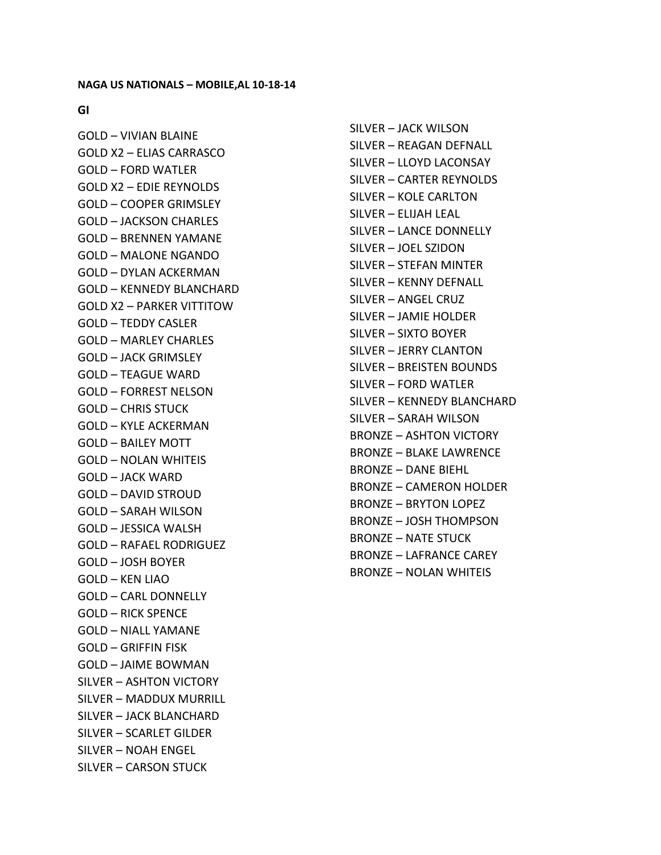#### **GI**

GOLD – VIVIAN BLAINE GOLD X2 – ELIAS CARRASCO GOLD – FORD WATLER GOLD X2 – EDIE REYNOLDS GOLD – COOPER GRIMSLEY GOLD – JACKSON CHARLES GOLD – BRENNEN YAMANE GOLD – MALONE NGANDO GOLD – DYLAN ACKERMAN GOLD – KENNEDY BLANCHARD GOLD X2 – PARKER VITTITOW GOLD – TEDDY CASLER GOLD – MARLEY CHARLES GOLD – JACK GRIMSLEY GOLD – TEAGUE WARD GOLD – FORREST NELSON GOLD – CHRIS STUCK GOLD – KYLE ACKERMAN GOLD – BAILEY MOTT GOLD – NOLAN WHITEIS GOLD – JACK WARD GOLD – DAVID STROUD GOLD – SARAH WILSON GOLD – JESSICA WALSH GOLD – RAFAEL RODRIGUEZ GOLD – JOSH BOYER GOLD – KEN LIAO GOLD – CARL DONNELLY GOLD – RICK SPENCE GOLD – NIALL YAMANE GOLD – GRIFFIN FISK GOLD – JAIME BOWMAN SILVER – ASHTON VICTORY SILVER – MADDUX MURRILL SILVER – JACK BLANCHARD SILVER – SCARLET GILDER SILVER – NOAH ENGEL SILVER – CARSON STUCK

SILVER – JACK WILSON SILVER – REAGAN DEFNALL SILVER – LLOYD LACONSAY SILVER – CARTER REYNOLDS SILVER – KOLE CARLTON SILVER – ELIJAH LEAL SILVER – LANCE DONNELLY SILVER – JOEL SZIDON SILVER – STEFAN MINTER SILVER – KENNY DEFNALL SILVER – ANGEL CRUZ SILVER – JAMIE HOLDER SILVER – SIXTO BOYER SILVER – JERRY CLANTON SILVER – BREISTEN BOUNDS SILVER – FORD WATLER SILVER – KENNEDY BLANCHARD SILVER – SARAH WILSON BRONZE – ASHTON VICTORY BRONZE – BLAKE LAWRENCE BRONZE – DANE BIEHL BRONZE – CAMERON HOLDER BRONZE – BRYTON LOPEZ BRONZE – JOSH THOMPSON BRONZE – NATE STUCK BRONZE – LAFRANCE CAREY BRONZE – NOLAN WHITEIS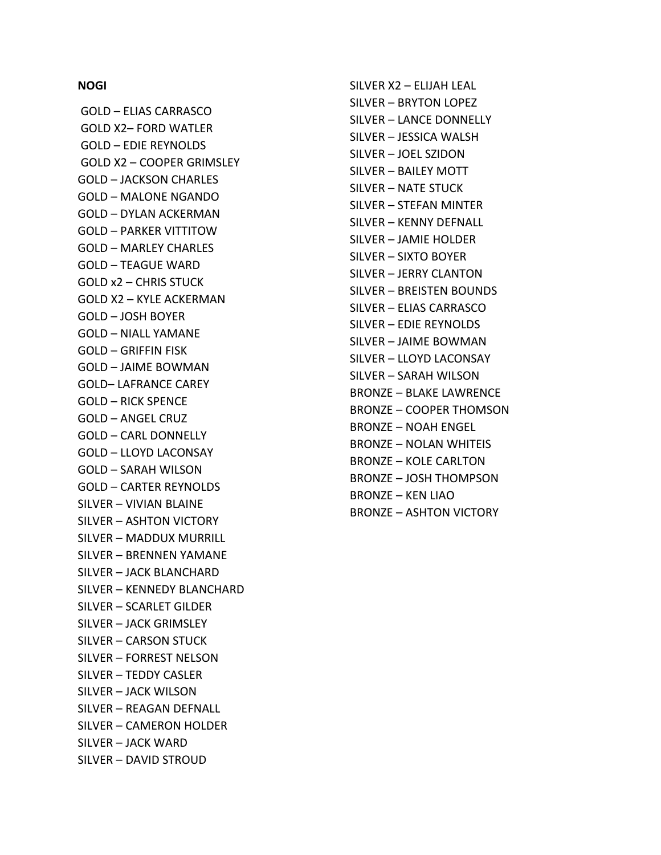#### **NOGI**

GOLD – ELIAS CARRASCO GOLD X2 – FORD WATLER GOLD – EDIE REYNOLDS GOLD X2 – COOPER GRIMSLEY GOLD – JACKSON CHARLES GOLD – MALONE NGANDO GOLD – DYLAN ACKERMAN GOLD – PARKER VITTITOW GOLD – MARLEY CHARLES GOLD – TEAGUE WARD GOLD x2 – CHRIS STUCK GOLD X2 – KYLE ACKERMAN GOLD – JOSH BOYER GOLD – NIALL YAMANE GOLD – GRIFFIN FISK GOLD – JAIME BOWMAN GOLD – LAFRANCE CAREY GOLD – RICK SPENCE GOLD – ANGEL CRUZ GOLD – CARL DONNELLY GOLD – LLOYD LACONSAY GOLD – SARAH WILSON GOLD – CARTER REYNOLDS SILVER – VIVIAN BLAINE SILVER – ASHTON VICTORY SILVER – MADDUX MURRILL SILVER – BRENNEN YAMANE SILVER – JACK BLANCHARD SILVER – KENNEDY BLANCHARD SILVER – SCARLET GILDER SILVER – JACK GRIMSLEY SILVER – CARSON STUCK SILVER – FORREST NELSON SILVER – TEDDY CASLER SILVER – JACK WILSON SILVER – REAGAN DEFNALL SILVER – CAMERON HOLDER SILVER – JACK WARD SILVER – DAVID STROUD

SILVER X2 – ELIJAH LEAL SILVER – BRYTON LOPEZ SILVER – LANCE DONNELLY SILVER – JESSICA WALSH SILVER – JOEL SZIDON SILVER – BAILEY MOTT SILVER – NATE STUCK SILVER – STEFAN MINTER SILVER – KENNY DEFNALL SILVER – JAMIE HOLDER SILVER – SIXTO BOYER SILVER – JERRY CLANTON SILVER – BREISTEN BOUNDS SILVER – ELIAS CARRASCO SILVER – EDIE REYNOLDS SILVER – JAIME BOWMAN SILVER – LLOYD LACONSAY SILVER – SARAH WILSON BRONZE – BLAKE LAWRENCE BRONZE – COOPER THOMSON BRONZE – NOAH ENGEL BRONZE – NOLAN WHITEIS BRONZE – KOLE CARLTON BRONZE – JOSH THOMPSON BRONZE – KEN LIAO BRONZE – ASHTON VICTORY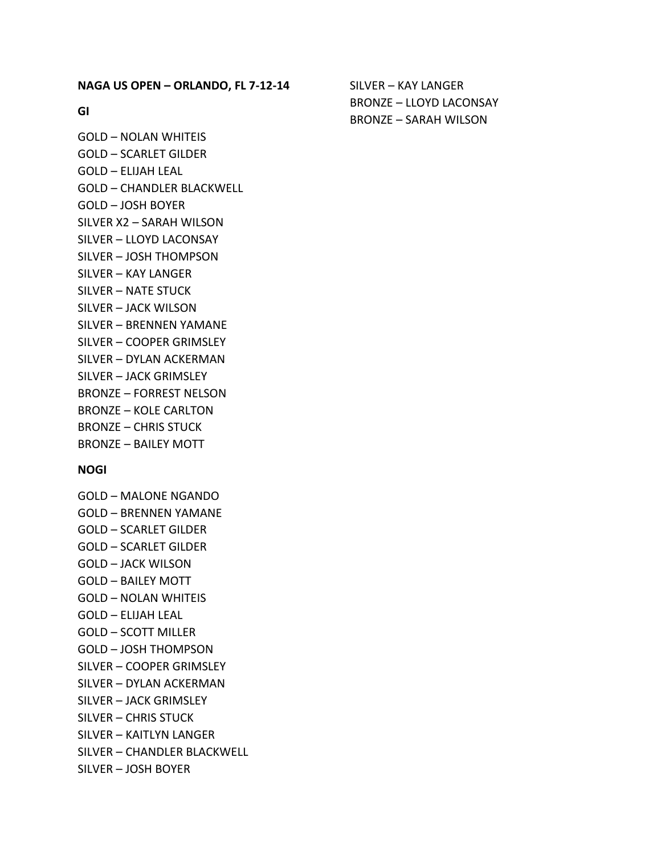**NAGA US OPEN – ORLANDO, FL 7-12-14**

**GI**

GOLD – NOLAN WHITEIS GOLD – SCARLET GILDER GOLD – ELIJAH LEAL GOLD – CHANDLER BLACKWELL GOLD – JOSH BOYER SILVER X2 – SARAH WILSON SILVER – LLOYD LACONSAY SILVER – JOSH THOMPSON SILVER – KAY LANGER SILVER – NATE STUCK SILVER – JACK WILSON SILVER – BRENNEN YAMANE SILVER – COOPER GRIMSLEY SILVER – DYLAN ACKERMAN SILVER – JACK GRIMSLEY BRONZE – FORREST NELSON BRONZE – KOLE CARLTON BRONZE – CHRIS STUCK BRONZE – BAILEY MOTT

#### **NOGI**

GOLD – MALONE NGANDO GOLD – BRENNEN YAMANE GOLD – SCARLET GILDER GOLD – SCARLET GILDER GOLD – JACK WILSON GOLD – BAILEY MOTT GOLD – NOLAN WHITEIS GOLD – ELIJAH LEAL GOLD – SCOTT MILLER GOLD – JOSH THOMPSON SILVER – COOPER GRIMSLEY SILVER – DYLAN ACKERMAN SILVER – JACK GRIMSLEY SILVER – CHRIS STUCK SILVER – KAITLYN LANGER SILVER – CHANDLER BLACKWELL SILVER – JOSH BOYER

SILVER – KAY LANGER BRONZE – LLOYD LACONSAY BRONZE – SARAH WILSON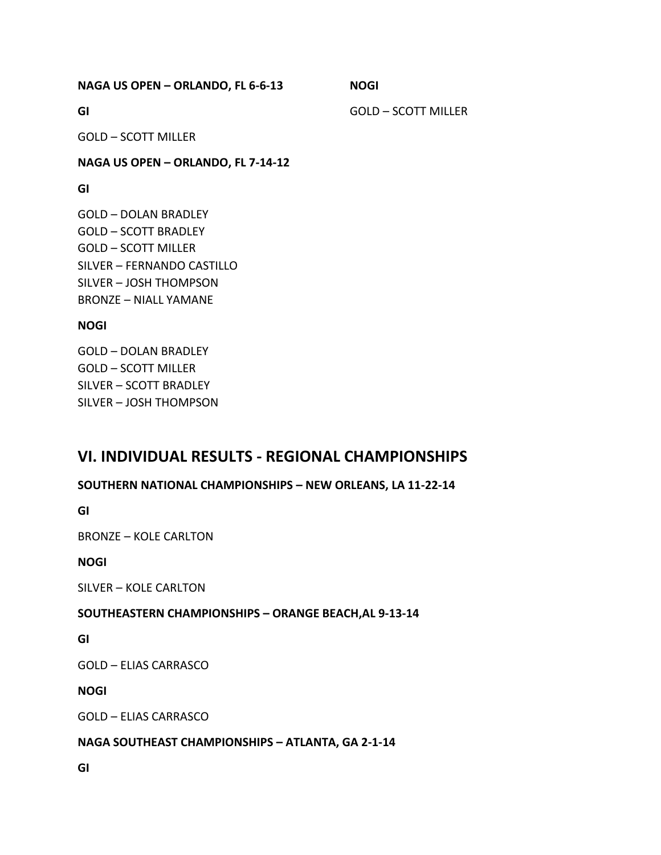**NAGA US OPEN – ORLANDO, FL 6-6-13**

**NOGI**

**GI**

GOLD – SCOTT MILLER

GOLD – SCOTT MILLER

**NAGA US OPEN – ORLANDO, FL 7-14-12**

# **GI**

GOLD – DOLAN BRADLEY GOLD – SCOTT BRADLEY GOLD – SCOTT MILLER SILVER – FERNANDO CASTILLO SILVER – JOSH THOMPSON BRONZE – NIALL YAMANE

# **NOGI**

GOLD – DOLAN BRADLEY GOLD – SCOTT MILLER SILVER – SCOTT BRADLEY SILVER – JOSH THOMPSON

# **VI. INDIVIDUAL RESULTS - REGIONAL CHAMPIONSHIPS**

# **SOUTHERN NATIONAL CHAMPIONSHIPS – NEW ORLEANS, LA 11-22-14**

**GI**

BRONZE – KOLE CARLTON

**NOGI**

SILVER – KOLE CARLTON

# **SOUTHEASTERN CHAMPIONSHIPS – ORANGE BEACH,AL 9-13-14**

**GI**

GOLD – ELIAS CARRASCO

**NOGI**

GOLD – ELIAS CARRASCO

# **NAGA SOUTHEAST CHAMPIONSHIPS – ATLANTA, GA 2-1-14**

**GI**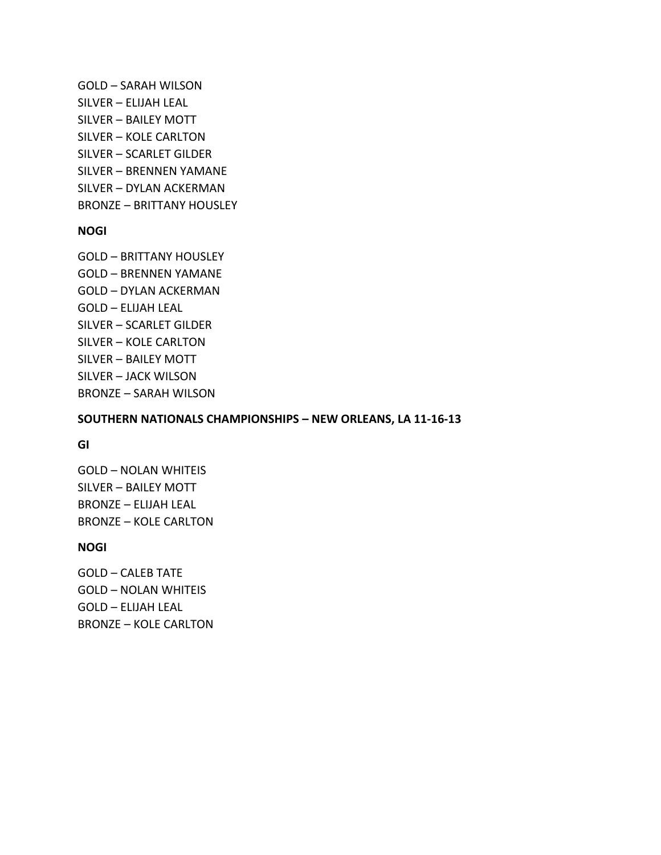GOLD – SARAH WILSON SILVER – ELIJAH LEAL SILVER – BAILEY MOTT SILVER – KOLE CARLTON SILVER – SCARLET GILDER SILVER – BRENNEN YAMANE SILVER – DYLAN ACKERMAN BRONZE – BRITTANY HOUSLEY

## **NOGI**

GOLD – BRITTANY HOUSLEY GOLD – BRENNEN YAMANE GOLD – DYLAN ACKERMAN GOLD – ELIJAH LEAL SILVER – SCARLET GILDER SILVER – KOLE CARLTON SILVER – BAILEY MOTT SILVER – JACK WILSON BRONZE – SARAH WILSON

## **SOUTHERN NATIONALS CHAMPIONSHIPS – NEW ORLEANS, LA 11-16-13**

## **GI**

GOLD – NOLAN WHITEIS SILVER – BAILEY MOTT BRONZE – ELIJAH LEAL BRONZE – KOLE CARLTON

## **NOGI**

GOLD – CALEB TATE GOLD – NOLAN WHITEIS GOLD – ELIJAH LEAL BRONZE – KOLE CARLTON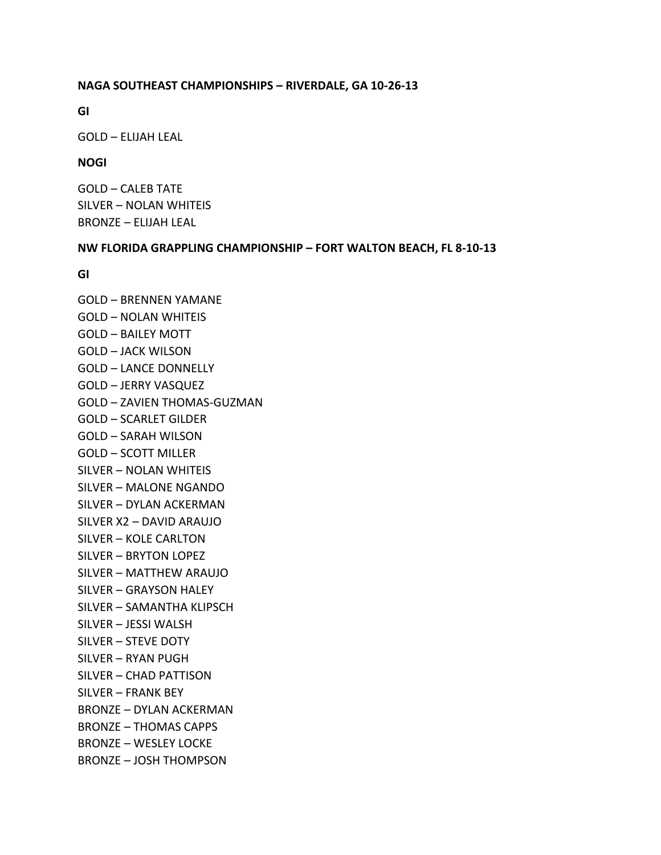## **NAGA SOUTHEAST CHAMPIONSHIPS – RIVERDALE, GA 10-26-13**

**GI**

GOLD – ELIJAH LEAL

# **NOGI**

GOLD – CALEB TATE SILVER – NOLAN WHITEIS BRONZE – ELIJAH LEAL

# **NW FLORIDA GRAPPLING CHAMPIONSHIP – FORT WALTON BEACH, FL 8-10-13**

## **GI**

GOLD – BRENNEN YAMANE GOLD – NOLAN WHITEIS GOLD – BAILEY MOTT GOLD – JACK WILSON GOLD – LANCE DONNELLY GOLD – JERRY VASQUEZ GOLD – ZAVIEN THOMAS-GUZMAN GOLD – SCARLET GILDER GOLD – SARAH WILSON GOLD – SCOTT MILLER SILVER – NOLAN WHITEIS SILVER – MALONE NGANDO SILVER – DYLAN ACKERMAN SILVER X2 – DAVID ARAUJO SILVER – KOLE CARLTON SILVER – BRYTON LOPEZ SILVER – MATTHEW ARAUJO SILVER – GRAYSON HALEY SILVER – SAMANTHA KLIPSCH SILVER – JESSI WALSH SILVER – STEVE DOTY SILVER – RYAN PUGH SILVER – CHAD PATTISON SILVER – FRANK BEY BRONZE – DYLAN ACKERMAN BRONZE – THOMAS CAPPS BRONZE – WESLEY LOCKE BRONZE – JOSH THOMPSON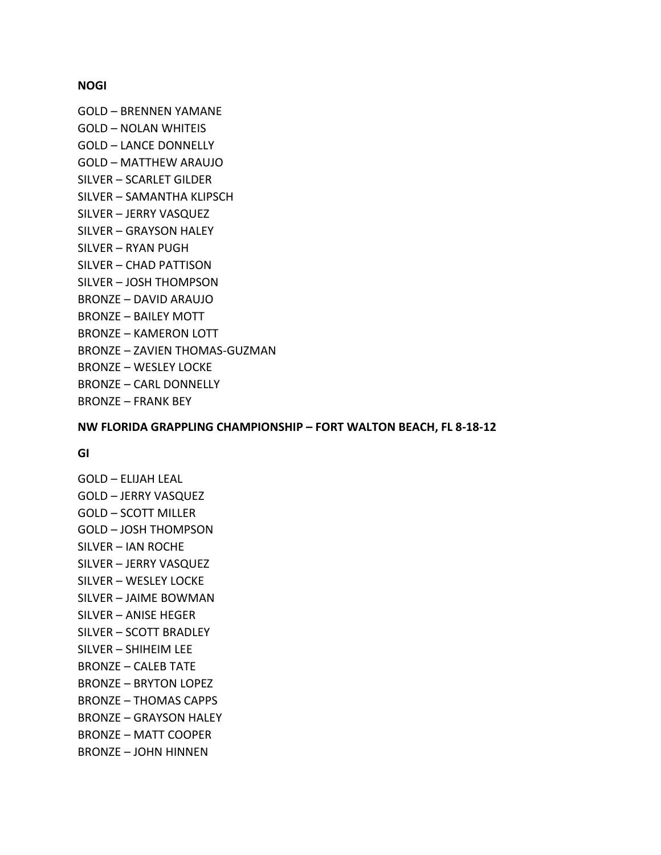#### **NOGI**

GOLD – BRENNEN YAMANE GOLD – NOLAN WHITEIS GOLD – LANCE DONNELLY GOLD – MATTHEW ARAUJO SILVER – SCARLET GILDER SILVER – SAMANTHA KLIPSCH SILVER – JERRY VASQUEZ SILVER – GRAYSON HALEY SILVER – RYAN PUGH SILVER – CHAD PATTISON SILVER – JOSH THOMPSON BRONZE – DAVID ARAUJO BRONZE – BAILEY MOTT BRONZE – KAMERON LOTT BRONZE – ZAVIEN THOMAS-GUZMAN BRONZE – WESLEY LOCKE BRONZE – CARL DONNELLY BRONZE – FRANK BEY

#### **NW FLORIDA GRAPPLING CHAMPIONSHIP – FORT WALTON BEACH, FL 8-18-12**

## **GI**

GOLD – ELIJAH LEAL GOLD – JERRY VASQUEZ GOLD – SCOTT MILLER GOLD – JOSH THOMPSON SILVER – IAN ROCHE SILVER – JERRY VASQUEZ SILVER – WESLEY LOCKE SILVER – JAIME BOWMAN SILVER – ANISE HEGER SILVER – SCOTT BRADLEY SILVER – SHIHEIM LEE BRONZE – CALEB TATE BRONZE – BRYTON LOPEZ BRONZE – THOMAS CAPPS BRONZE – GRAYSON HALEY BRONZE – MATT COOPER BRONZE – JOHN HINNEN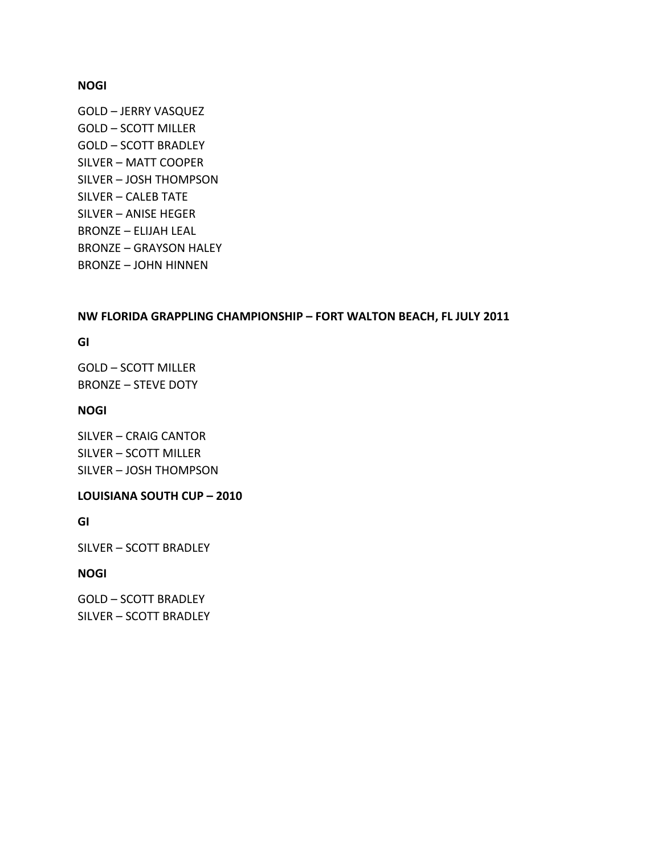## **NOGI**

GOLD – JERRY VASQUEZ GOLD – SCOTT MILLER GOLD – SCOTT BRADLEY SILVER – MATT COOPER SILVER – JOSH THOMPSON SILVER – CALEB TATE SILVER – ANISE HEGER BRONZE – ELIJAH LEAL BRONZE – GRAYSON HALEY BRONZE – JOHN HINNEN

## **NW FLORIDA GRAPPLING CHAMPIONSHIP – FORT WALTON BEACH, FL JULY 2011**

**GI**

GOLD – SCOTT MILLER BRONZE – STEVE DOTY

## **NOGI**

SILVER – CRAIG CANTOR SILVER – SCOTT MILLER SILVER – JOSH THOMPSON

# **LOUISIANA SOUTH CUP – 2010**

**GI** 

SILVER – SCOTT BRADLEY

# **NOGI**

GOLD – SCOTT BRADLEY SILVER – SCOTT BRADLEY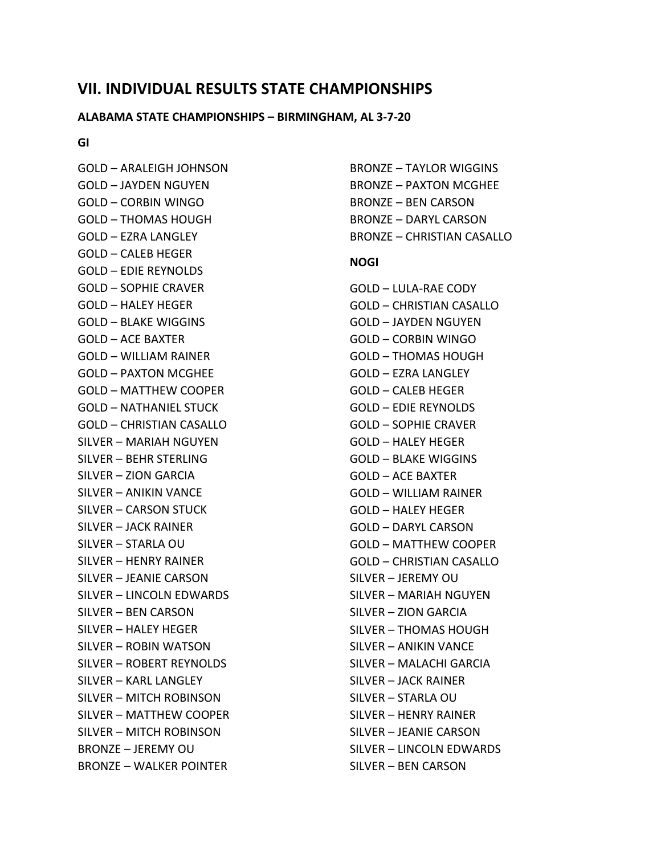# **VII. INDIVIDUAL RESULTS STATE CHAMPIONSHIPS**

#### **ALABAMA STATE CHAMPIONSHIPS – BIRMINGHAM, AL 3-7-20**

## **GI**

GOLD – ARALEIGH JOHNSON GOLD – JAYDEN NGUYEN GOLD – CORBIN WINGO GOLD – THOMAS HOUGH GOLD – EZRA LANGLEY GOLD – CALEB HEGER GOLD – EDIE REYNOLDS GOLD – SOPHIE CRAVER GOLD – HALEY HEGER GOLD – BLAKE WIGGINS GOLD – ACE BAXTER GOLD – WILLIAM RAINER GOLD – PAXTON MCGHEE GOLD – MATTHEW COOPER GOLD – NATHANIEL STUCK GOLD – CHRISTIAN CASALLO SILVER – MARIAH NGUYEN SILVER – BEHR STERLING SILVER – ZION GARCIA SILVER – ANIKIN VANCE SILVER – CARSON STUCK SILVER – JACK RAINER SILVER – STARLA OU SILVER – HENRY RAINER SILVER – JEANIE CARSON SILVER – LINCOLN EDWARDS SILVER – BEN CARSON SILVER – HALEY HEGER SILVER – ROBIN WATSON SILVER – ROBERT REYNOLDS SILVER – KARL LANGLEY SILVER – MITCH ROBINSON SILVER – MATTHEW COOPER SILVER – MITCH ROBINSON BRONZE – JEREMY OU BRONZE – WALKER POINTER

BRONZE – TAYLOR WIGGINS BRONZE – PAXTON MCGHEE BRONZE – BEN CARSON BRONZE – DARYL CARSON BRONZE – CHRISTIAN CASALLO **NOGI** GOLD – LULA-RAE CODY GOLD – CHRISTIAN CASALLO GOLD – JAYDEN NGUYEN GOLD – CORBIN WINGO GOLD – THOMAS HOUGH GOLD – EZRA LANGLEY GOLD – CALEB HEGER GOLD – EDIE REYNOLDS GOLD – SOPHIE CRAVER GOLD – HALEY HEGER GOLD – BLAKE WIGGINS GOLD – ACE BAXTER GOLD – WILLIAM RAINER GOLD – HALEY HEGER GOLD – DARYL CARSON GOLD – MATTHEW COOPER GOLD – CHRISTIAN CASALLO SILVER – JEREMY OU SILVER – MARIAH NGUYEN

SILVER – ZION GARCIA SILVER – THOMAS HOUGH SILVER – ANIKIN VANCE SILVER – MALACHI GARCIA SILVER – JACK RAINER SILVER – STARLA OU SILVER – HENRY RAINER SILVER – JEANIE CARSON SILVER – LINCOLN EDWARDS

SILVER – BEN CARSON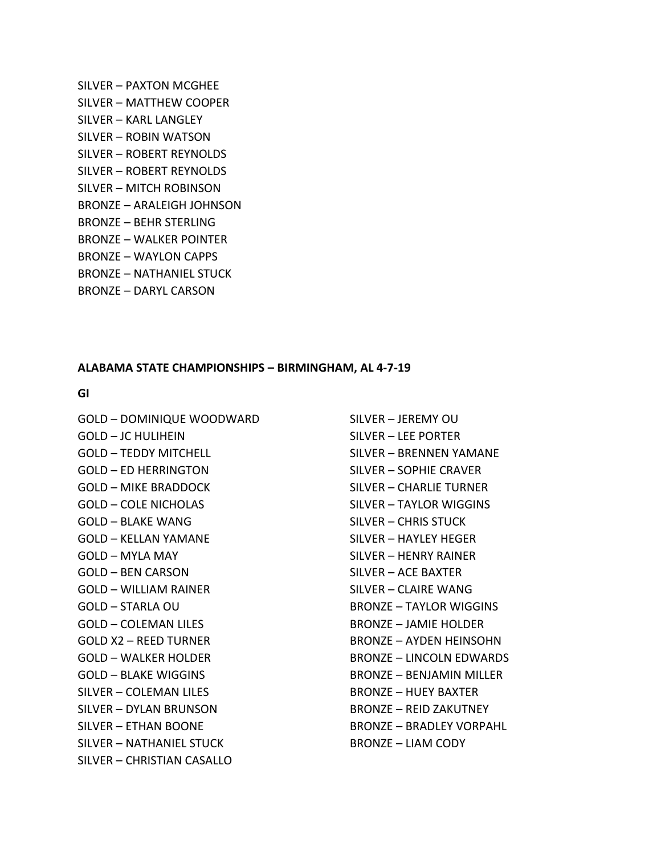SILVER – PAXTON MCGHEE SILVER – MATTHEW COOPER SILVER – KARL LANGLEY SILVER – ROBIN WATSON SILVER – ROBERT REYNOLDS SILVER – ROBERT REYNOLDS SILVER – MITCH ROBINSON BRONZE – ARALEIGH JOHNSON BRONZE – BEHR STERLING BRONZE – WALKER POINTER BRONZE – WAYLON CAPPS BRONZE – NATHANIEL STUCK BRONZE – DARYL CARSON

#### **ALABAMA STATE CHAMPIONSHIPS – BIRMINGHAM, AL 4-7-19**

**GI**

GOLD – DOMINIQUE WOODWARD GOLD – JC HULIHEIN GOLD – TEDDY MITCHELL GOLD – ED HERRINGTON GOLD – MIKE BRADDOCK GOLD – COLE NICHOLAS GOLD – BLAKE WANG GOLD – KELLAN YAMANE GOLD – MYLA MAY GOLD – BEN CARSON GOLD – WILLIAM RAINER GOLD – STARLA OU GOLD – COLEMAN LILES GOLD X2 – REED TURNER GOLD – WALKER HOLDER GOLD – BLAKE WIGGINS SILVER – COLEMAN LILES SILVER – DYLAN BRUNSON SILVER – ETHAN BOONE SILVER – NATHANIEL STUCK SILVER – CHRISTIAN CASALLO

SILVER – JEREMY OU SILVER – LEE PORTER SILVER – BRENNEN YAMANE SILVER – SOPHIE CRAVER SILVER – CHARLIE TURNER SILVER – TAYLOR WIGGINS SILVER – CHRIS STUCK SILVER – HAYLEY HEGER SILVER – HENRY RAINER SILVER – ACE BAXTER SILVER – CLAIRE WANG BRONZE – TAYLOR WIGGINS BRONZE – JAMIE HOLDER BRONZE – AYDEN HEINSOHN BRONZE – LINCOLN EDWARDS BRONZE – BENJAMIN MILLER BRONZE – HUEY BAXTER BRONZE – REID ZAKUTNEY BRONZE – BRADLEY VORPAHL BRONZE – LIAM CODY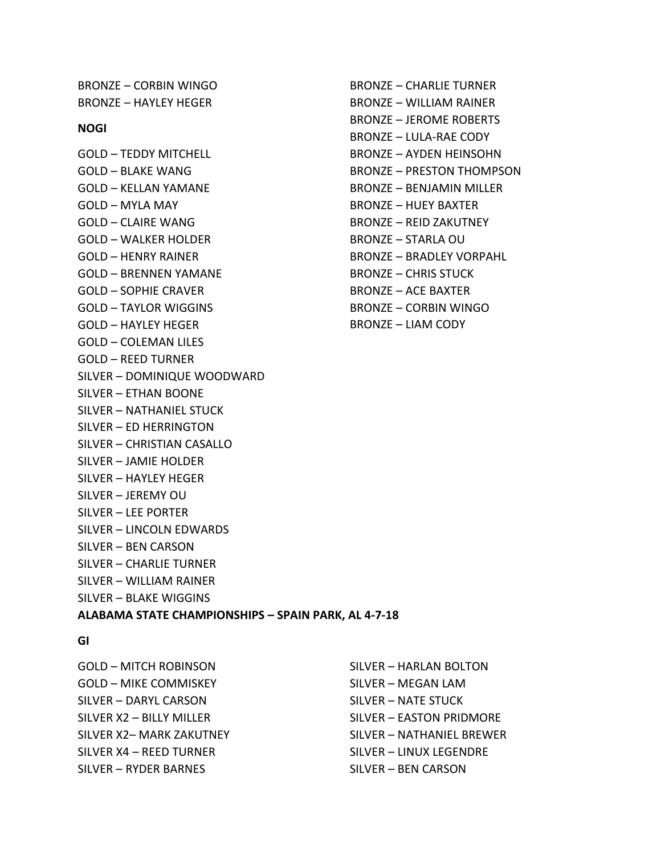BRONZE – CORBIN WINGO BRONZE – HAYLEY HEGER

#### **NOGI**

GOLD – TEDDY MITCHELL GOLD – BLAKE WANG GOLD – KELLAN YAMANE GOLD – MYLA MAY GOLD – CLAIRE WANG GOLD – WALKER HOLDER GOLD – HENRY RAINER GOLD – BRENNEN YAMANE GOLD – SOPHIE CRAVER GOLD – TAYLOR WIGGINS GOLD – HAYLEY HEGER GOLD – COLEMAN LILES GOLD – REED TURNER SILVER – DOMINIQUE WOODWARD SILVER – ETHAN BOONE SILVER – NATHANIEL STUCK SILVER – ED HERRINGTON SILVER – CHRISTIAN CASALLO SILVER – JAMIE HOLDER SILVER – HAYLEY HEGER SILVER – JEREMY OU SILVER – LEE PORTER SILVER – LINCOLN EDWARDS SILVER – BEN CARSON SILVER – CHARLIE TURNER SILVER – WILLIAM RAINER SILVER – BLAKE WIGGINS

BRONZE – CHARLIE TURNER BRONZE – WILLIAM RAINER BRONZE – JEROME ROBERTS BRONZE – LULA-RAE CODY BRONZE – AYDEN HEINSOHN BRONZE – PRESTON THOMPSON BRONZE – BENJAMIN MILLER BRONZE – HUEY BAXTER BRONZE – REID ZAKUTNEY BRONZE – STARLA OU BRONZE – BRADLEY VORPAHL BRONZE – CHRIS STUCK BRONZE – ACE BAXTER BRONZE – CORBIN WINGO BRONZE – LIAM CODY

#### **GI**

GOLD – MITCH ROBINSON GOLD – MIKE COMMISKEY SILVER – DARYL CARSON SILVER X2 – BILLY MILLER SILVER X2– MARK ZAKUTNEY SILVER X4 – REED TURNER SILVER – RYDER BARNES

**ALABAMA STATE CHAMPIONSHIPS – SPAIN PARK, AL 4-7-18**

SILVER – HARLAN BOLTON SILVER – MEGAN LAM SILVER – NATE STUCK SILVER – EASTON PRIDMORE SILVER – NATHANIEL BREWER SILVER – LINUX LEGENDRE SILVER – BEN CARSON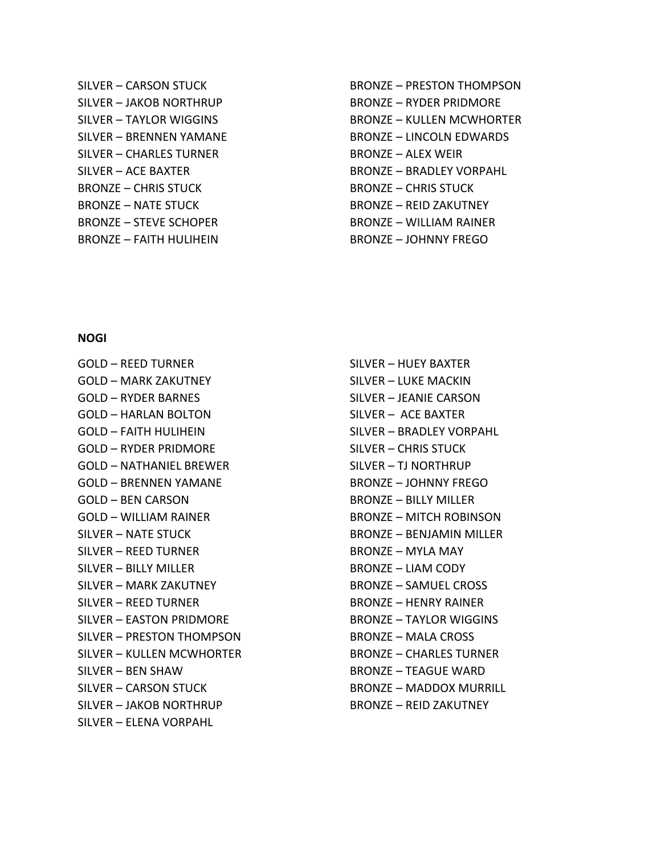SILVER – CARSON STUCK SILVER – JAKOB NORTHRUP SILVER – TAYLOR WIGGINS SILVER – BRENNEN YAMANE SILVER – CHARLES TURNER SILVER – ACE BAXTER BRONZE – CHRIS STUCK BRONZE – NATE STUCK BRONZE – STEVE SCHOPER BRONZE – FAITH HULIHEIN

BRONZE – PRESTON THOMPSON BRONZE – RYDER PRIDMORE BRONZE – KULLEN MCWHORTER BRONZE – LINCOLN EDWARDS BRONZE – ALEX WEIR BRONZE – BRADLEY VORPAHL BRONZE – CHRIS STUCK BRONZE – REID ZAKUTNEY BRONZE – WILLIAM RAINER BRONZE – JOHNNY FREGO

## **NOGI**

GOLD – REED TURNER GOLD – MARK ZAKUTNEY GOLD – RYDER BARNES GOLD – HARLAN BOLTON GOLD – FAITH HULIHEIN GOLD – RYDER PRIDMORE GOLD – NATHANIEL BREWER GOLD – BRENNEN YAMANE GOLD – BEN CARSON GOLD – WILLIAM RAINER SILVER – NATE STUCK SILVER – REED TURNER SILVER – BILLY MILLER SILVER – MARK ZAKUTNEY SILVER – REED TURNER SILVER – EASTON PRIDMORE SILVER – PRESTON THOMPSON SILVER – KULLEN MCWHORTER SILVER – BEN SHAW SILVER – CARSON STUCK SILVER – JAKOB NORTHRUP SILVER – ELENA VORPAHL

SILVER – HUEY BAXTER SILVER – LUKE MACKIN SILVER – JEANIE CARSON SILVER – ACE BAXTER SILVER – BRADLEY VORPAHL SILVER – CHRIS STUCK SILVER – TJ NORTHRUP BRONZE – JOHNNY FREGO BRONZE – BILLY MILLER BRONZE – MITCH ROBINSON BRONZE – BENJAMIN MILLER BRONZE – MYLA MAY BRONZE – LIAM CODY BRONZE – SAMUEL CROSS BRONZE – HENRY RAINER BRONZE – TAYLOR WIGGINS BRONZE – MALA CROSS BRONZE – CHARLES TURNER BRONZE – TEAGUE WARD BRONZE – MADDOX MURRILL BRONZE – REID ZAKUTNEY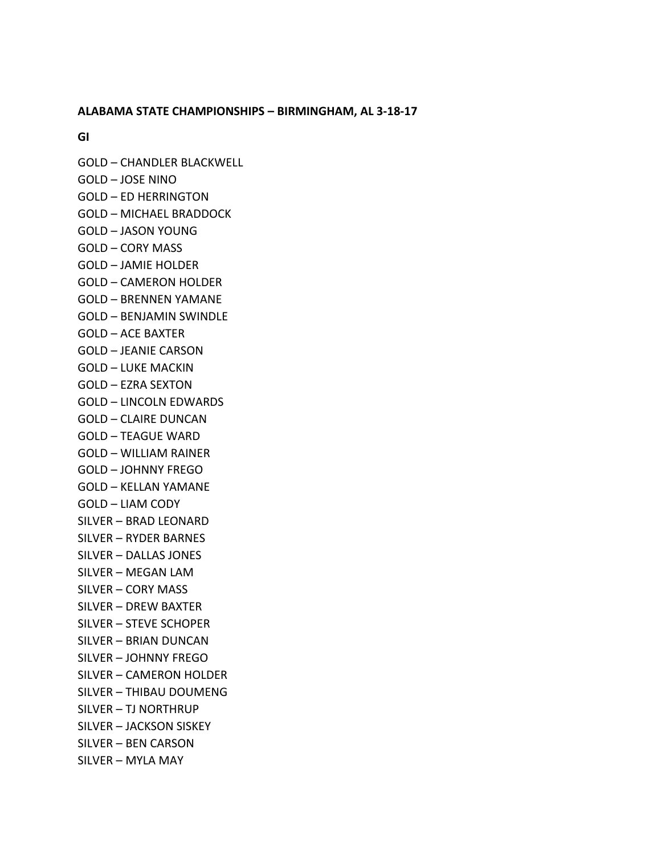#### **ALABAMA STATE CHAMPIONSHIPS – BIRMINGHAM, AL 3-18-17**

**GI**

GOLD – CHANDLER BLACKWELL GOLD – JOSE NINO GOLD – ED HERRINGTON GOLD – MICHAEL BRADDOCK GOLD – JASON YOUNG GOLD – CORY MASS GOLD – JAMIE HOLDER GOLD – CAMERON HOLDER GOLD – BRENNEN YAMANE GOLD – BENJAMIN SWINDLE GOLD – ACE BAXTER GOLD – JEANIE CARSON GOLD – LUKE MACKIN GOLD – EZRA SEXTON GOLD – LINCOLN EDWARDS GOLD – CLAIRE DUNCAN GOLD – TEAGUE WARD GOLD – WILLIAM RAINER GOLD – JOHNNY FREGO GOLD – KELLAN YAMANE GOLD – LIAM CODY SILVER – BRAD LEONARD SILVER – RYDER BARNES SILVER – DALLAS JONES SILVER – MEGAN LAM SILVER – CORY MASS SILVER – DREW BAXTER SILVER – STEVE SCHOPER SILVER – BRIAN DUNCAN SILVER – JOHNNY FREGO SILVER – CAMERON HOLDER SILVER – THIBAU DOUMENG SILVER – TJ NORTHRUP SILVER – JACKSON SISKEY SILVER – BEN CARSON SILVER – MYLA MAY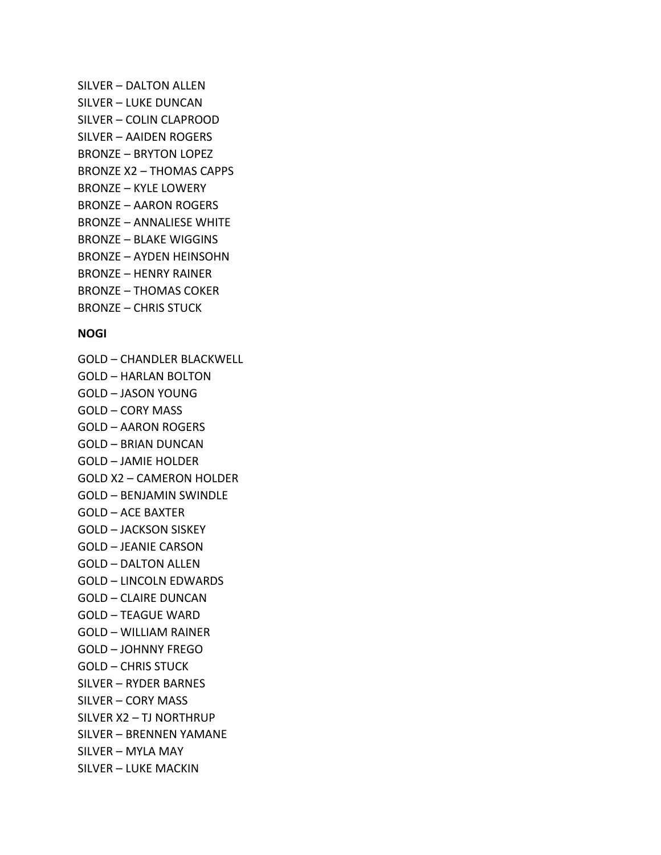SILVER – DALTON ALLEN SILVER – LUKE DUNCAN SILVER – COLIN CLAPROOD SILVER – AAIDEN ROGERS BRONZE – BRYTON LOPEZ BRONZE X2 – THOMAS CAPPS BRONZE – KYLE LOWERY BRONZE – AARON ROGERS BRONZE – ANNALIESE WHITE BRONZE – BLAKE WIGGINS BRONZE – AYDEN HEINSOHN BRONZE – HENRY RAINER BRONZE – THOMAS COKER BRONZE – CHRIS STUCK

#### **NOGI**

GOLD – CHANDLER BLACKWELL GOLD – HARLAN BOLTON GOLD – JASON YOUNG GOLD – CORY MASS GOLD – AARON ROGERS GOLD – BRIAN DUNCAN GOLD – JAMIE HOLDER GOLD X2 – CAMERON HOLDER GOLD – BENJAMIN SWINDLE GOLD – ACE BAXTER GOLD – JACKSON SISKEY GOLD – JEANIE CARSON GOLD – DALTON ALLEN GOLD – LINCOLN EDWARDS GOLD – CLAIRE DUNCAN GOLD – TEAGUE WARD GOLD – WILLIAM RAINER GOLD – JOHNNY FREGO GOLD – CHRIS STUCK SILVER – RYDER BARNES SILVER – CORY MASS SILVER X2 – TJ NORTHRUP SILVER – BRENNEN YAMANE SILVER – MYLA MAY SILVER – LUKE MACKIN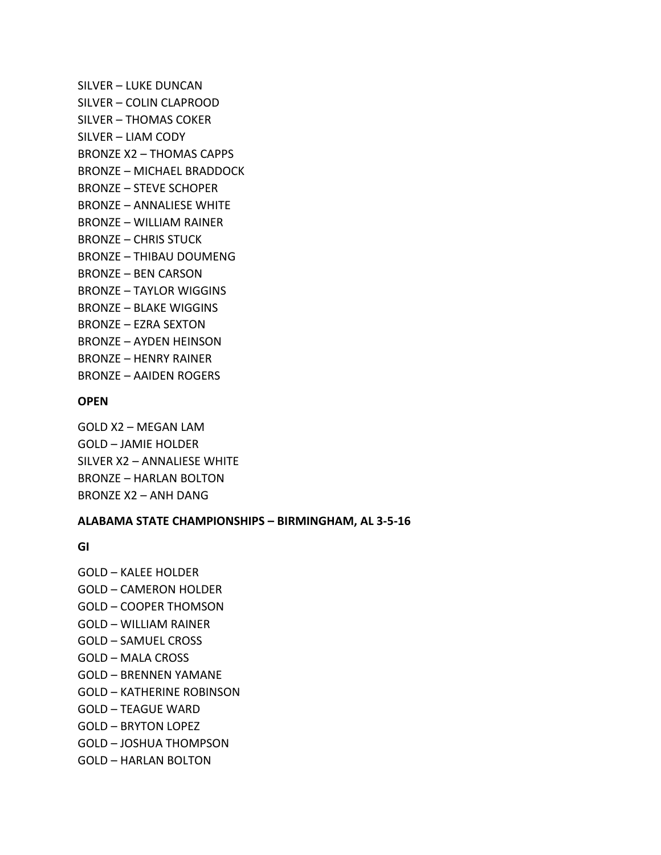SILVER – LUKE DUNCAN SILVER – COLIN CLAPROOD SILVER – THOMAS COKER SILVER – LIAM CODY BRONZE X2 – THOMAS CAPPS BRONZE – MICHAEL BRADDOCK BRONZE – STEVE SCHOPER BRONZE – ANNALIESE WHITE BRONZE – WILLIAM RAINER BRONZE – CHRIS STUCK BRONZE – THIBAU DOUMENG BRONZE – BEN CARSON BRONZE – TAYLOR WIGGINS BRONZE – BLAKE WIGGINS BRONZE – EZRA SEXTON BRONZE – AYDEN HEINSON BRONZE – HENRY RAINER BRONZE – AAIDEN ROGERS

#### **OPEN**

GOLD X2 – MEGAN LAM GOLD – JAMIE HOLDER SILVER X2 – ANNALIESE WHITE BRONZE – HARLAN BOLTON BRONZE X2 – ANH DANG

#### **ALABAMA STATE CHAMPIONSHIPS – BIRMINGHAM, AL 3-5-16**

**GI**

GOLD – KALEE HOLDER GOLD – CAMERON HOLDER GOLD – COOPER THOMSON GOLD – WILLIAM RAINER GOLD – SAMUEL CROSS GOLD – MALA CROSS GOLD – BRENNEN YAMANE GOLD – KATHERINE ROBINSON GOLD – TEAGUE WARD GOLD – BRYTON LOPEZ GOLD – JOSHUA THOMPSON GOLD – HARLAN BOLTON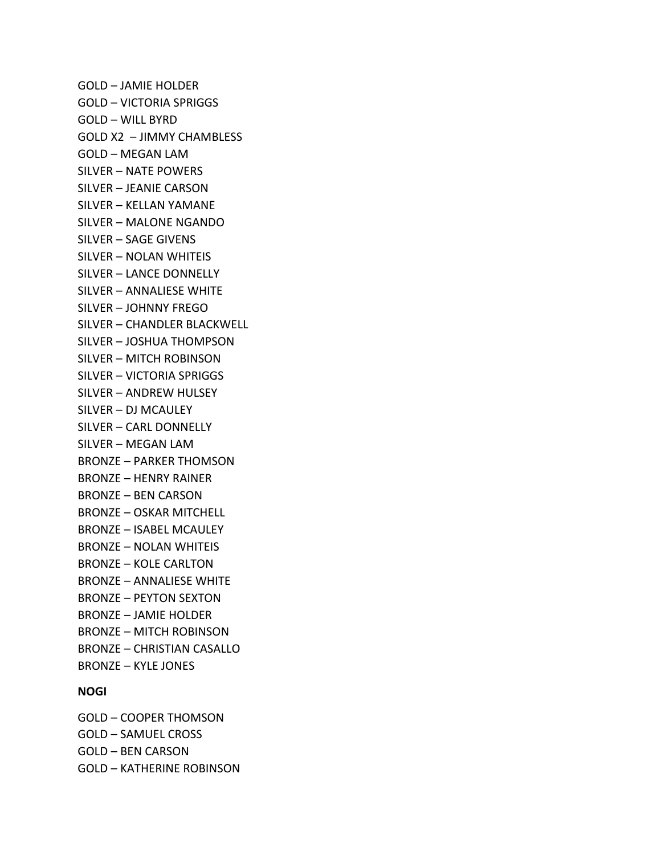GOLD – JAMIE HOLDER GOLD – VICTORIA SPRIGGS GOLD – WILL BYRD GOLD X2 – JIMMY CHAMBLESS GOLD – MEGAN LAM SILVER – NATE POWERS SILVER – JEANIE CARSON SILVER – KELLAN YAMANE SILVER – MALONE NGANDO SILVER – SAGE GIVENS SILVER – NOLAN WHITEIS SILVER – LANCE DONNELLY SILVER – ANNALIESE WHITE SILVER – JOHNNY FREGO SILVER – CHANDLER BLACKWELL SILVER – JOSHUA THOMPSON SILVER – MITCH ROBINSON SILVER – VICTORIA SPRIGGS SILVER – ANDREW HULSEY SILVER – DJ MCAULEY SILVER – CARL DONNELLY SILVER – MEGAN LAM BRONZE – PARKER THOMSON BRONZE – HENRY RAINER BRONZE – BEN CARSON BRONZE – OSKAR MITCHELL BRONZE – ISABEL MCAULEY BRONZE – NOLAN WHITEIS BRONZE – KOLE CARLTON BRONZE – ANNALIESE WHITE BRONZE – PEYTON SEXTON BRONZE – JAMIE HOLDER BRONZE – MITCH ROBINSON BRONZE – CHRISTIAN CASALLO BRONZE – KYLE JONES **NOGI**

GOLD – COOPER THOMSON GOLD – SAMUEL CROSS GOLD – BEN CARSON GOLD – KATHERINE ROBINSON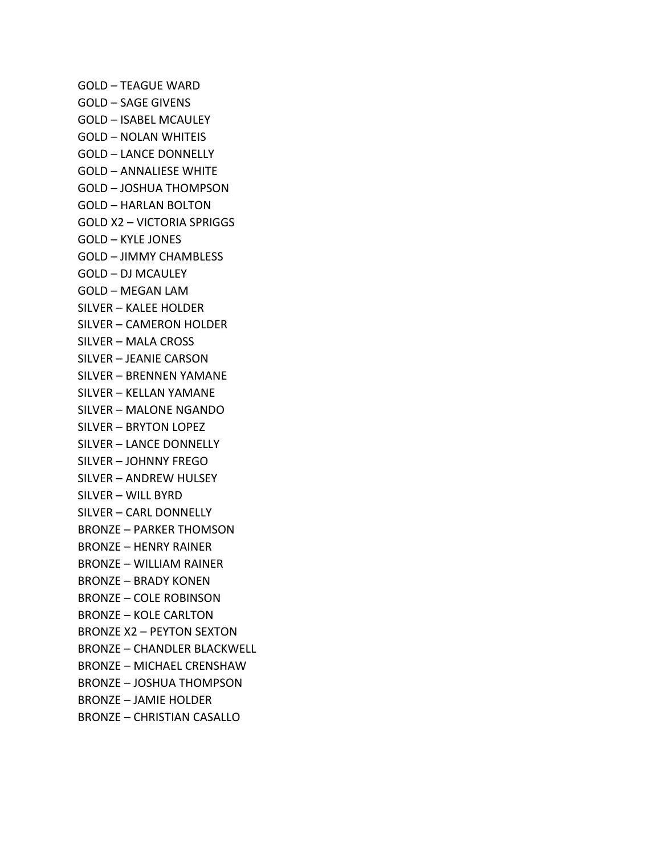GOLD – TEAGUE WARD GOLD – SAGE GIVENS GOLD – ISABEL MCAULEY GOLD – NOLAN WHITEIS GOLD – LANCE DONNELLY GOLD – ANNALIESE WHITE GOLD – JOSHUA THOMPSON GOLD – HARLAN BOLTON GOLD X2 – VICTORIA SPRIGGS GOLD – KYLE JONES GOLD – JIMMY CHAMBLESS GOLD – DJ MCAULEY GOLD – MEGAN LAM SILVER – KALEE HOLDER SILVER – CAMERON HOLDER SILVER – MALA CROSS SILVER – JEANIE CARSON SILVER – BRENNEN YAMANE SILVER – KELLAN YAMANE SILVER – MALONE NGANDO SILVER – BRYTON LOPEZ SILVER – LANCE DONNELLY SILVER – JOHNNY FREGO SILVER – ANDREW HULSEY SILVER – WILL BYRD SILVER – CARL DONNELLY BRONZE – PARKER THOMSON BRONZE – HENRY RAINER BRONZE – WILLIAM RAINER BRONZE – BRADY KONEN BRONZE – COLE ROBINSON BRONZE – KOLE CARLTON BRONZE X2 – PEYTON SEXTON BRONZE – CHANDLER BLACKWELL BRONZE – MICHAEL CRENSHAW BRONZE – JOSHUA THOMPSON BRONZE – JAMIE HOLDER BRONZE – CHRISTIAN CASALLO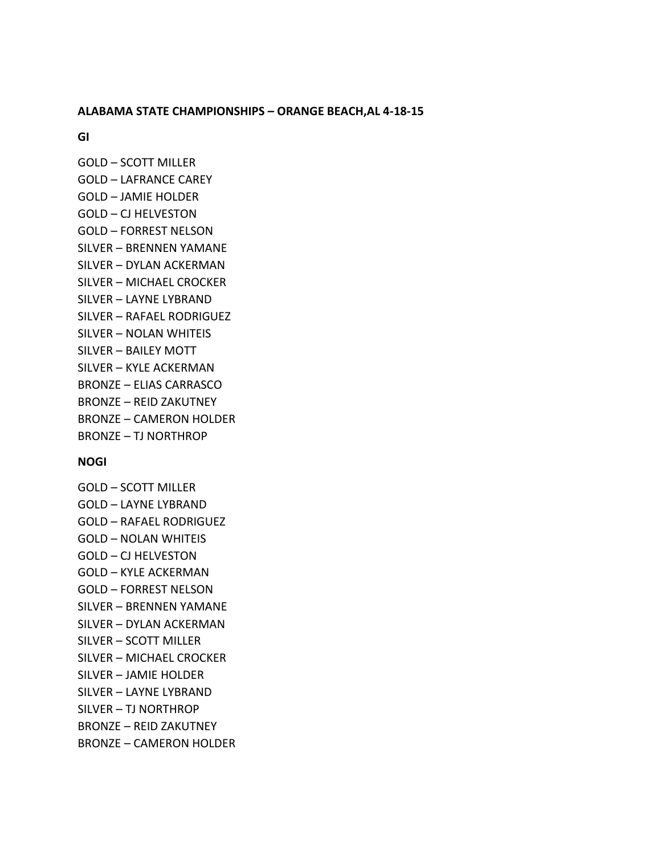#### **ALABAMA STATE CHAMPIONSHIPS – ORANGE BEACH,AL 4-18-15**

**GI**

GOLD – SCOTT MILLER GOLD – LAFRANCE CAREY GOLD – JAMIE HOLDER GOLD – CJ HELVESTON GOLD – FORREST NELSON SILVER – BRENNEN YAMANE SILVER – DYLAN ACKERMAN SILVER – MICHAEL CROCKER SILVER – LAYNE LYBRAND SILVER – RAFAEL RODRIGUEZ SILVER – NOLAN WHITEIS SILVER – BAILEY MOTT SILVER – KYLE ACKERMAN BRONZE – ELIAS CARRASCO BRONZE – REID ZAKUTNEY BRONZE – CAMERON HOLDER BRONZE – TJ NORTHROP

## **NOGI**

GOLD – SCOTT MILLER GOLD – LAYNE LYBRAND GOLD – RAFAEL RODRIGUEZ GOLD – NOLAN WHITEIS GOLD – CJ HELVESTON GOLD – KYLE ACKERMAN GOLD – FORREST NELSON SILVER – BRENNEN YAMANE SILVER – DYLAN ACKERMAN SILVER – SCOTT MILLER SILVER – MICHAEL CROCKER SILVER – JAMIE HOLDER SILVER – LAYNE LYBRAND SILVER – TJ NORTHROP BRONZE – REID ZAKUTNEY BRONZE – CAMERON HOLDER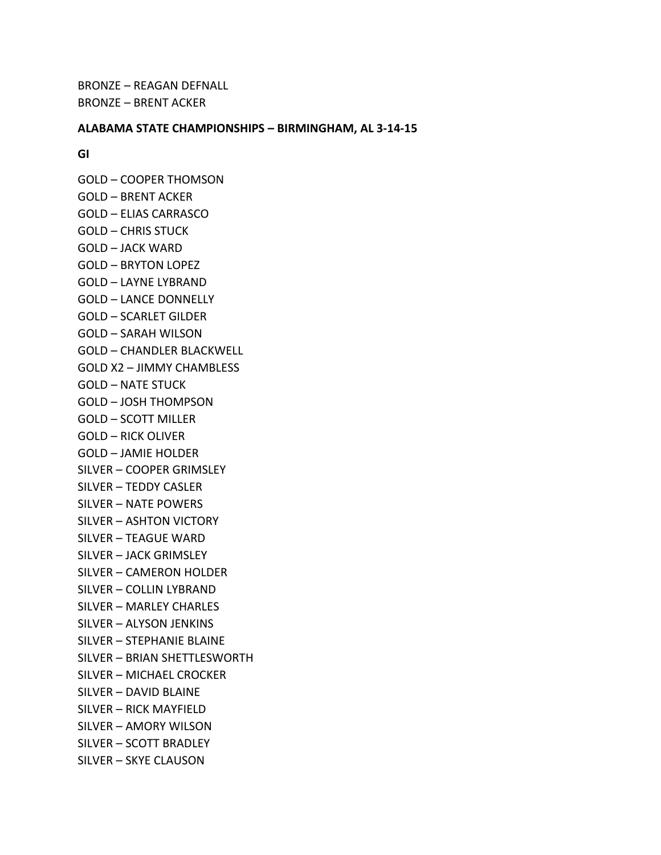BRONZE – REAGAN DEFNALL BRONZE – BRENT ACKER

#### **ALABAMA STATE CHAMPIONSHIPS – BIRMINGHAM, AL 3-14-15**

**GI**

GOLD – COOPER THOMSON GOLD – BRENT ACKER GOLD – ELIAS CARRASCO GOLD – CHRIS STUCK GOLD – JACK WARD GOLD – BRYTON LOPEZ GOLD – LAYNE LYBRAND GOLD – LANCE DONNELLY GOLD – SCARLET GILDER GOLD – SARAH WILSON GOLD – CHANDLER BLACKWELL GOLD X2 – JIMMY CHAMBLESS GOLD – NATE STUCK GOLD – JOSH THOMPSON GOLD – SCOTT MILLER GOLD – RICK OLIVER GOLD – JAMIE HOLDER SILVER – COOPER GRIMSLEY SILVER – TEDDY CASLER SILVER – NATE POWERS SILVER – ASHTON VICTORY SILVER – TEAGUE WARD SILVER – JACK GRIMSLEY SILVER – CAMERON HOLDER SILVER – COLLIN LYBRAND SILVER – MARLEY CHARLES SILVER – ALYSON JENKINS SILVER – STEPHANIE BLAINE SILVER – BRIAN SHETTLESWORTH SILVER – MICHAEL CROCKER SILVER – DAVID BLAINE SILVER – RICK MAYFIELD SILVER – AMORY WILSON SILVER – SCOTT BRADLEY SILVER – SKYE CLAUSON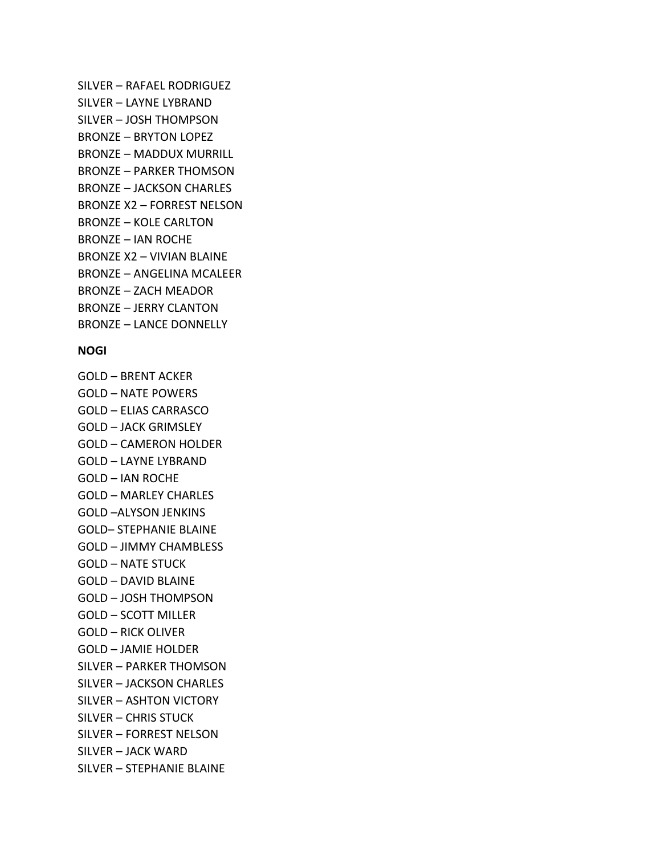SILVER – RAFAEL RODRIGUEZ SILVER – LAYNE LYBRAND SILVER – JOSH THOMPSON BRONZE – BRYTON LOPEZ BRONZE – MADDUX MURRILL BRONZE – PARKER THOMSON BRONZE – JACKSON CHARLES BRONZE X2 – FORREST NELSON BRONZE – KOLE CARLTON BRONZE – IAN ROCHE BRONZE X2 – VIVIAN BLAINE BRONZE – ANGELINA MCALEER BRONZE – ZACH MEADOR BRONZE – JERRY CLANTON BRONZE – LANCE DONNELLY

## **NOGI**

GOLD – BRENT ACKER GOLD – NATE POWERS GOLD – ELIAS CARRASCO GOLD – JACK GRIMSLEY GOLD – CAMERON HOLDER GOLD – LAYNE LYBRAND GOLD – IAN ROCHE GOLD – MARLEY CHARLES GOLD –ALYSON JENKINS GOLD– STEPHANIE BLAINE GOLD – JIMMY CHAMBLESS GOLD – NATE STUCK GOLD – DAVID BLAINE GOLD – JOSH THOMPSON GOLD – SCOTT MILLER GOLD – RICK OLIVER GOLD – JAMIE HOLDER SILVER – PARKER THOMSON SILVER – JACKSON CHARLES SILVER – ASHTON VICTORY SILVER – CHRIS STUCK SILVER – FORREST NELSON SILVER – JACK WARD SILVER – STEPHANIE BLAINE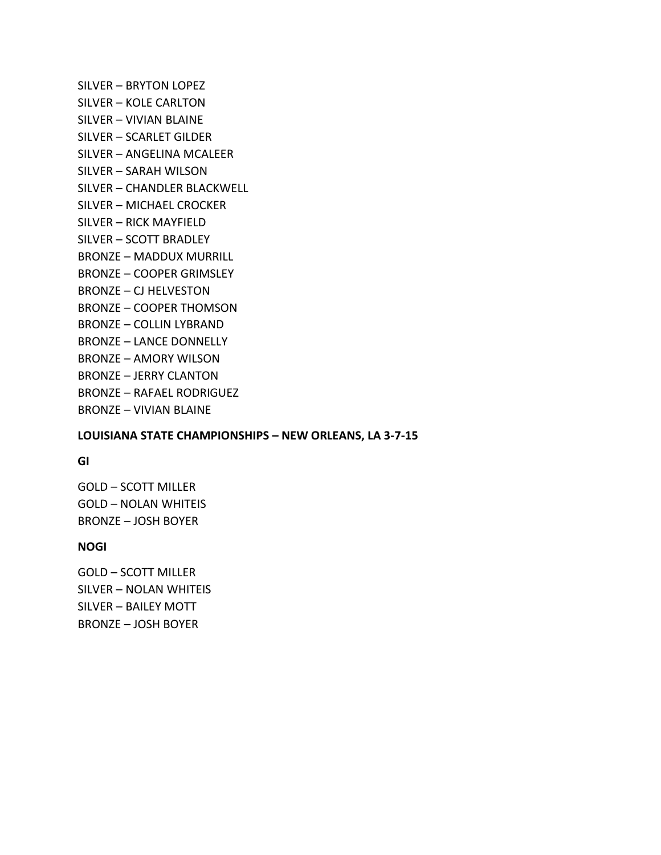SILVER – BRYTON LOPEZ SILVER – KOLE CARLTON SILVER – VIVIAN BLAINE SILVER – SCARLET GILDER SILVER – ANGELINA MCALEER SILVER – SARAH WILSON SILVER – CHANDLER BLACKWELL SILVER – MICHAEL CROCKER SILVER – RICK MAYFIELD SILVER – SCOTT BRADLEY BRONZE – MADDUX MURRILL BRONZE – COOPER GRIMSLEY BRONZE – CJ HELVESTON BRONZE – COOPER THOMSON BRONZE – COLLIN LYBRAND BRONZE – LANCE DONNELLY BRONZE – AMORY WILSON BRONZE – JERRY CLANTON BRONZE – RAFAEL RODRIGUEZ BRONZE – VIVIAN BLAINE

## **LOUISIANA STATE CHAMPIONSHIPS – NEW ORLEANS, LA 3-7-15**

#### **GI**

GOLD – SCOTT MILLER GOLD – NOLAN WHITEIS BRONZE – JOSH BOYER

## **NOGI**

GOLD – SCOTT MILLER SILVER – NOLAN WHITEIS SILVER – BAILEY MOTT BRONZE – JOSH BOYER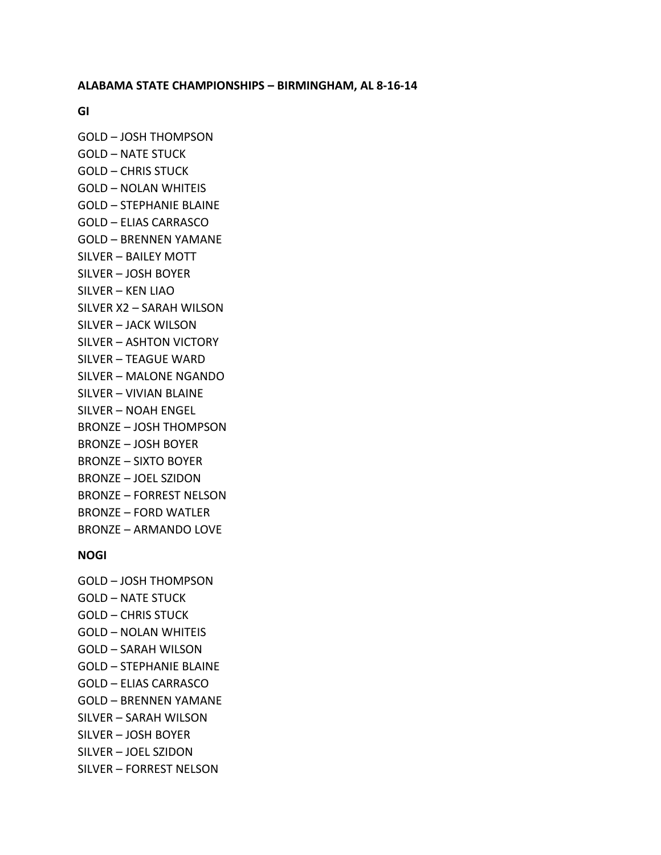**ALABAMA STATE CHAMPIONSHIPS – BIRMINGHAM, AL 8-16-14**

**GI**

GOLD – JOSH THOMPSON GOLD – NATE STUCK GOLD – CHRIS STUCK GOLD – NOLAN WHITEIS GOLD – STEPHANIE BLAINE GOLD – ELIAS CARRASCO GOLD – BRENNEN YAMANE SILVER – BAILEY MOTT SILVER – JOSH BOYER SILVER – KEN LIAO SILVER X2 – SARAH WILSON SILVER – JACK WILSON SILVER – ASHTON VICTORY SILVER – TEAGUE WARD SILVER – MALONE NGANDO SILVER – VIVIAN BLAINE SILVER – NOAH ENGEL BRONZE – JOSH THOMPSON BRONZE – JOSH BOYER BRONZE – SIXTO BOYER BRONZE – JOEL SZIDON BRONZE – FORREST NELSON BRONZE – FORD WATLER BRONZE – ARMANDO LOVE **NOGI**

GOLD – JOSH THOMPSON GOLD – NATE STUCK GOLD – CHRIS STUCK GOLD – NOLAN WHITEIS GOLD – SARAH WILSON GOLD – STEPHANIE BLAINE GOLD – ELIAS CARRASCO GOLD – BRENNEN YAMANE SILVER – SARAH WILSON SILVER – JOSH BOYER SILVER – JOEL SZIDON SILVER – FORREST NELSON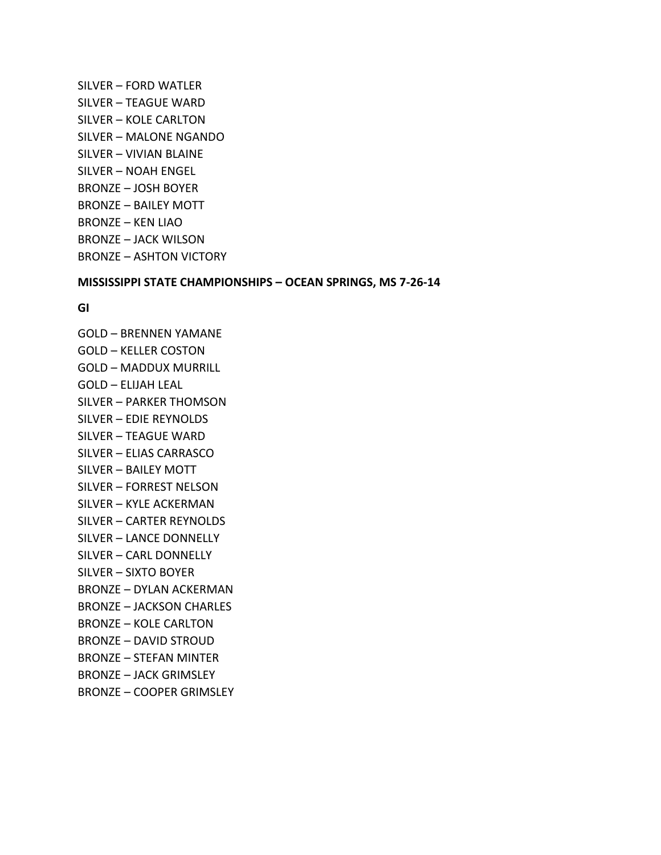SILVER – FORD WATLER SILVER – TEAGUE WARD SILVER – KOLE CARLTON SILVER – MALONE NGANDO SILVER – VIVIAN BLAINE SILVER – NOAH ENGEL BRONZE – JOSH BOYER BRONZE – BAILEY MOTT BRONZE – KEN LIAO BRONZE – JACK WILSON BRONZE – ASHTON VICTORY

#### **MISSISSIPPI STATE CHAMPIONSHIPS – OCEAN SPRINGS, MS 7-26-14**

#### **GI**

GOLD – BRENNEN YAMANE GOLD – KELLER COSTON GOLD – MADDUX MURRILL GOLD – ELIJAH LEAL SILVER – PARKER THOMSON SILVER – EDIE REYNOLDS SILVER – TEAGUE WARD SILVER – ELIAS CARRASCO SILVER – BAILEY MOTT SILVER – FORREST NELSON SILVER – KYLE ACKERMAN SILVER – CARTER REYNOLDS SILVER – LANCE DONNELLY SILVER – CARL DONNELLY SILVER – SIXTO BOYER BRONZE – DYLAN ACKERMAN BRONZE – JACKSON CHARLES BRONZE – KOLE CARLTON BRONZE – DAVID STROUD BRONZE – STEFAN MINTER BRONZE – JACK GRIMSLEY BRONZE – COOPER GRIMSLEY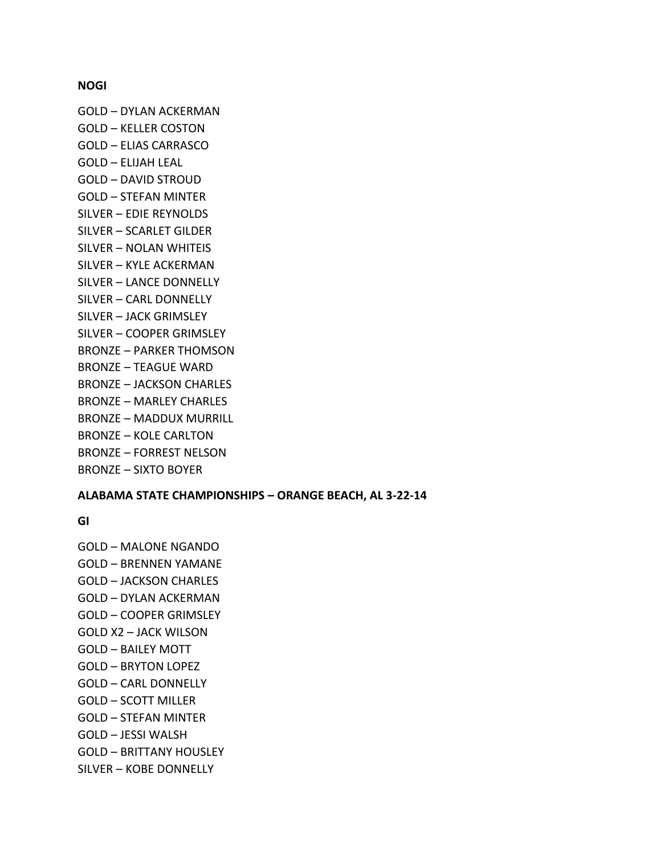#### **NOGI**

GOLD – DYLAN ACKERMAN GOLD – KELLER COSTON GOLD – ELIAS CARRASCO GOLD – ELIJAH LEAL GOLD – DAVID STROUD GOLD – STEFAN MINTER SILVER – EDIE REYNOLDS SILVER – SCARLET GILDER SILVER – NOLAN WHITEIS SILVER – KYLE ACKERMAN SILVER – LANCE DONNELLY SILVER – CARL DONNELLY SILVER – JACK GRIMSLEY SILVER – COOPER GRIMSLEY BRONZE – PARKER THOMSON BRONZE – TEAGUE WARD BRONZE – JACKSON CHARLES BRONZE – MARLEY CHARLES BRONZE – MADDUX MURRILL BRONZE – KOLE CARLTON BRONZE – FORREST NELSON BRONZE – SIXTO BOYER

## **ALABAMA STATE CHAMPIONSHIPS – ORANGE BEACH, AL 3-22-14**

**GI**

GOLD – MALONE NGANDO GOLD – BRENNEN YAMANE GOLD – JACKSON CHARLES GOLD – DYLAN ACKERMAN GOLD – COOPER GRIMSLEY GOLD X2 – JACK WILSON GOLD – BAILEY MOTT GOLD – BRYTON LOPEZ GOLD – CARL DONNELLY GOLD – SCOTT MILLER GOLD – STEFAN MINTER GOLD – JESSI WALSH GOLD – BRITTANY HOUSLEY SILVER – KOBE DONNELLY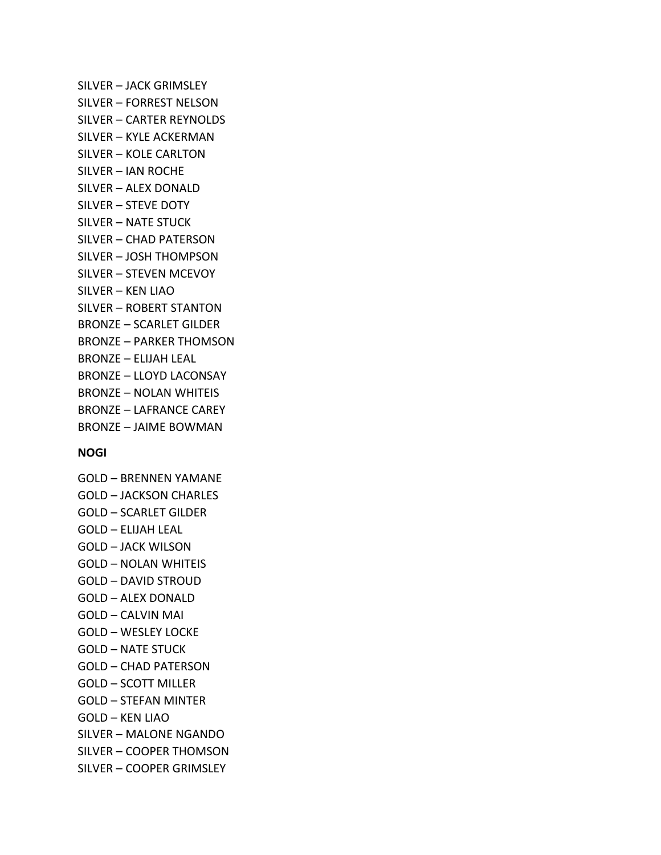SILVER – JACK GRIMSLEY SILVER – FORREST NELSON SILVER – CARTER REYNOLDS SILVER – KYLE ACKERMAN SILVER – KOLE CARLTON SILVER – IAN ROCHE SILVER – ALEX DONALD SILVER – STEVE DOTY SILVER – NATE STUCK SILVER – CHAD PATERSON SILVER – JOSH THOMPSON SILVER – STEVEN MCEVOY SILVER – KEN LIAO SILVER – ROBERT STANTON BRONZE – SCARLET GILDER BRONZE – PARKER THOMSON BRONZE – ELIJAH LEAL BRONZE – LLOYD LACONSAY BRONZE – NOLAN WHITEIS BRONZE – LAFRANCE CAREY BRONZE – JAIME BOWMAN

# **NOGI**

GOLD – BRENNEN YAMANE GOLD – JACKSON CHARLES GOLD – SCARLET GILDER GOLD – ELIJAH LEAL GOLD – JACK WILSON GOLD – NOLAN WHITEIS GOLD – DAVID STROUD GOLD – ALEX DONALD GOLD – CALVIN MAI GOLD – WESLEY LOCKE GOLD – NATE STUCK GOLD – CHAD PATERSON GOLD – SCOTT MILLER GOLD – STEFAN MINTER GOLD – KEN LIAO SILVER – MALONE NGANDO SILVER – COOPER THOMSON SILVER – COOPER GRIMSLEY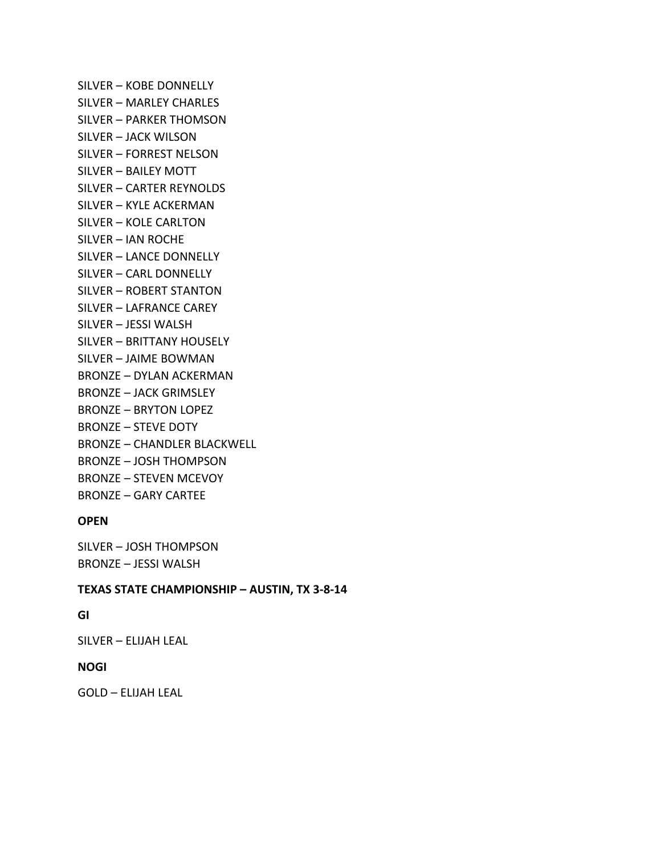SILVER – KOBE DONNELLY SILVER – MARLEY CHARLES SILVER – PARKER THOMSON SILVER – JACK WILSON SILVER – FORREST NELSON SILVER – BAILEY MOTT SILVER – CARTER REYNOLDS SILVER – KYLE ACKERMAN SILVER – KOLE CARLTON SILVER – IAN ROCHE SILVER – LANCE DONNELLY SILVER – CARL DONNELLY SILVER – ROBERT STANTON SILVER – LAFRANCE CAREY SILVER – JESSI WALSH SILVER – BRITTANY HOUSELY SILVER – JAIME BOWMAN BRONZE – DYLAN ACKERMAN BRONZE – JACK GRIMSLEY BRONZE – BRYTON LOPEZ BRONZE – STEVE DOTY BRONZE – CHANDLER BLACKWELL BRONZE – JOSH THOMPSON BRONZE – STEVEN MCEVOY

BRONZE – GARY CARTEE

# **OPEN**

SILVER – JOSH THOMPSON BRONZE – JESSI WALSH

## **TEXAS STATE CHAMPIONSHIP – AUSTIN, TX 3-8-14**

# **GI**

SILVER – ELIJAH LEAL

# **NOGI**

GOLD – ELIJAH LEAL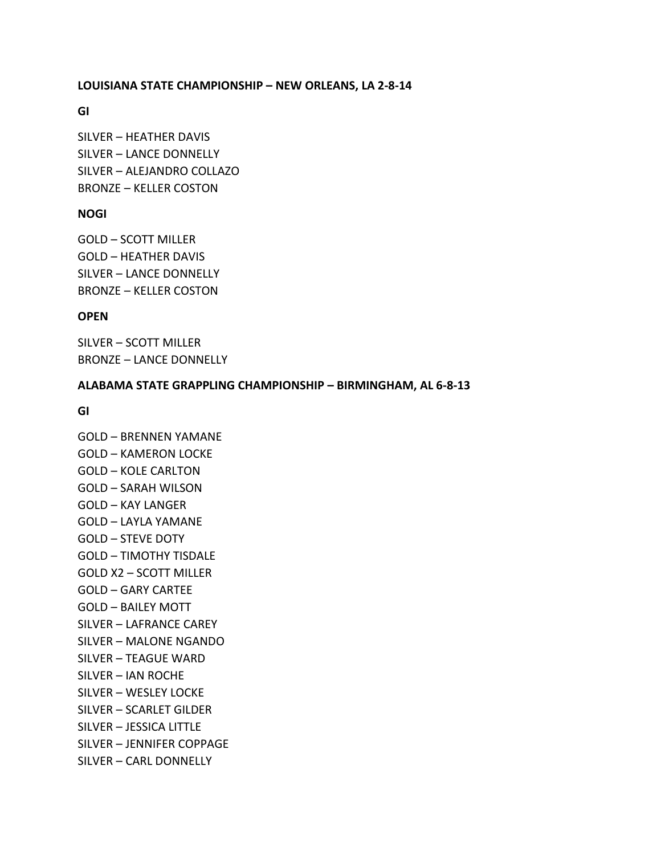## **LOUISIANA STATE CHAMPIONSHIP – NEW ORLEANS, LA 2-8-14**

**GI**

SILVER – HEATHER DAVIS SILVER – LANCE DONNELLY SILVER – ALEJANDRO COLLAZO BRONZE – KELLER COSTON

## **NOGI**

GOLD – SCOTT MILLER GOLD – HEATHER DAVIS SILVER – LANCE DONNELLY BRONZE – KELLER COSTON

## **OPEN**

SILVER – SCOTT MILLER BRONZE – LANCE DONNELLY

#### **ALABAMA STATE GRAPPLING CHAMPIONSHIP – BIRMINGHAM, AL 6-8-13**

**GI**

GOLD – BRENNEN YAMANE GOLD – KAMERON LOCKE GOLD – KOLE CARLTON GOLD – SARAH WILSON GOLD – KAY LANGER GOLD – LAYLA YAMANE GOLD – STEVE DOTY GOLD – TIMOTHY TISDALE GOLD X2 – SCOTT MILLER GOLD – GARY CARTEE GOLD – BAILEY MOTT SILVER – LAFRANCE CAREY SILVER – MALONE NGANDO SILVER – TEAGUE WARD SILVER – IAN ROCHE SILVER – WESLEY LOCKE SILVER – SCARLET GILDER SILVER – JESSICA LITTLE SILVER – JENNIFER COPPAGE SILVER – CARL DONNELLY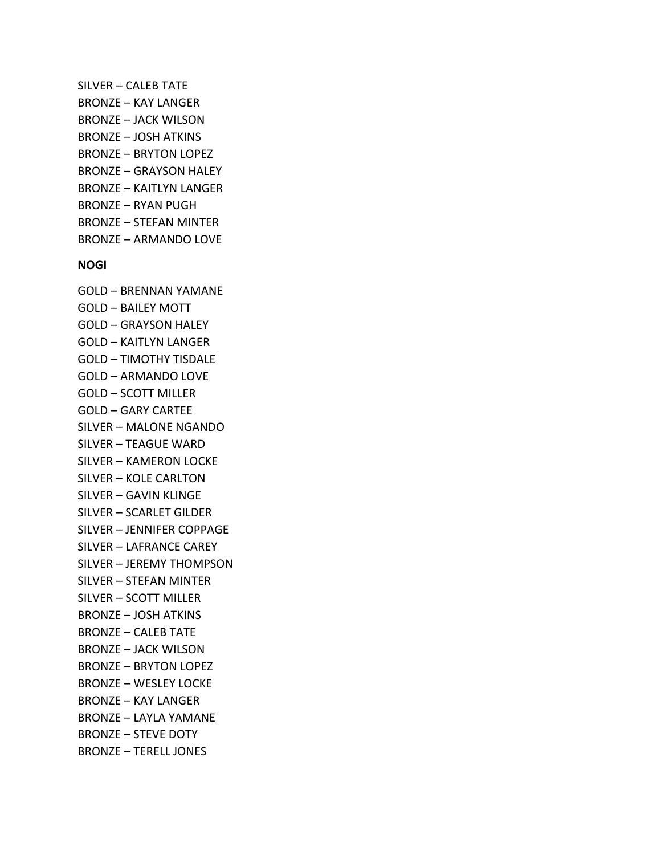SILVER – CALEB TATE BRONZE – KAY LANGER BRONZE – JACK WILSON BRONZE – JOSH ATKINS BRONZE – BRYTON LOPEZ BRONZE – GRAYSON HALEY BRONZE – KAITLYN LANGER BRONZE – RYAN PUGH BRONZE – STEFAN MINTER BRONZE – ARMANDO LOVE

#### **NOGI**

GOLD – BRENNAN YAMANE GOLD – BAILEY MOTT GOLD – GRAYSON HALEY GOLD – KAITLYN LANGER GOLD – TIMOTHY TISDALE GOLD – ARMANDO LOVE GOLD – SCOTT MILLER GOLD – GARY CARTEE SILVER – MALONE NGANDO SILVER – TEAGUE WARD SILVER – KAMERON LOCKE SILVER – KOLE CARLTON SILVER – GAVIN KLINGE SILVER – SCARLET GILDER SILVER – JENNIFER COPPAGE SILVER – LAFRANCE CAREY SILVER – JEREMY THOMPSON SILVER – STEFAN MINTER SILVER – SCOTT MILLER BRONZE – JOSH ATKINS BRONZE – CALEB TATE BRONZE – JACK WILSON BRONZE – BRYTON LOPEZ BRONZE – WESLEY LOCKE BRONZE – KAY LANGER BRONZE – LAYLA YAMANE BRONZE – STEVE DOTY BRONZE – TERELL JONES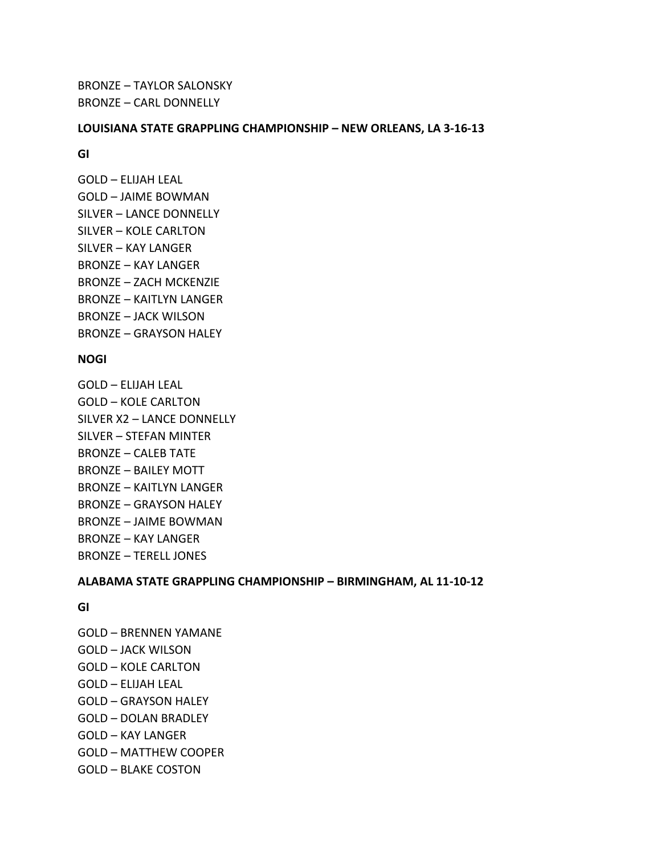BRONZE – TAYLOR SALONSKY BRONZE – CARL DONNELLY

#### **LOUISIANA STATE GRAPPLING CHAMPIONSHIP – NEW ORLEANS, LA 3-16-13**

**GI**

GOLD – ELIJAH LEAL GOLD – JAIME BOWMAN SILVER – LANCE DONNELLY SILVER – KOLE CARLTON SILVER – KAY LANGER BRONZE – KAY LANGER BRONZE – ZACH MCKENZIE BRONZE – KAITLYN LANGER BRONZE – JACK WILSON BRONZE – GRAYSON HALEY

## **NOGI**

GOLD – ELIJAH LEAL GOLD – KOLE CARLTON SILVER X2 – LANCE DONNELLY SILVER – STEFAN MINTER BRONZE – CALEB TATE BRONZE – BAILEY MOTT BRONZE – KAITLYN LANGER BRONZE – GRAYSON HALEY BRONZE – JAIME BOWMAN BRONZE – KAY LANGER BRONZE – TERELL JONES

## **ALABAMA STATE GRAPPLING CHAMPIONSHIP – BIRMINGHAM, AL 11-10-12**

## **GI**

GOLD – BRENNEN YAMANE GOLD – JACK WILSON GOLD – KOLE CARLTON GOLD – ELIJAH LEAL GOLD – GRAYSON HALEY GOLD – DOLAN BRADLEY GOLD – KAY LANGER GOLD – MATTHEW COOPER GOLD – BLAKE COSTON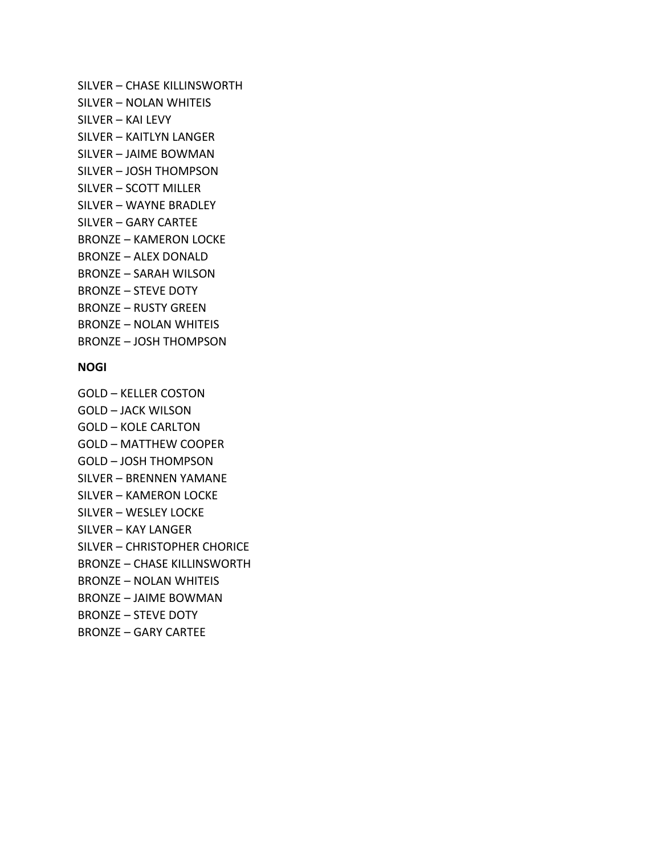SILVER – CHASE KILLINSWORTH SILVER – NOLAN WHITEIS SILVER – KAI LEVY SILVER – KAITLYN LANGER SILVER – JAIME BOWMAN SILVER – JOSH THOMPSON SILVER – SCOTT MILLER SILVER – WAYNE BRADLEY SILVER – GARY CARTEE BRONZE – KAMERON LOCKE BRONZE – ALEX DONALD BRONZE – SARAH WILSON BRONZE – STEVE DOTY BRONZE – RUSTY GREEN BRONZE – NOLAN WHITEIS BRONZE – JOSH THOMPSON

## **NOGI**

GOLD – KELLER COSTON GOLD – JACK WILSON GOLD – KOLE CARLTON GOLD – MATTHEW COOPER GOLD – JOSH THOMPSON SILVER – BRENNEN YAMANE SILVER – KAMERON LOCKE SILVER – WESLEY LOCKE SILVER – KAY LANGER SILVER – CHRISTOPHER CHORICE BRONZE – CHASE KILLINSWORTH BRONZE – NOLAN WHITEIS BRONZE – JAIME BOWMAN BRONZE – STEVE DOTY BRONZE – GARY CARTEE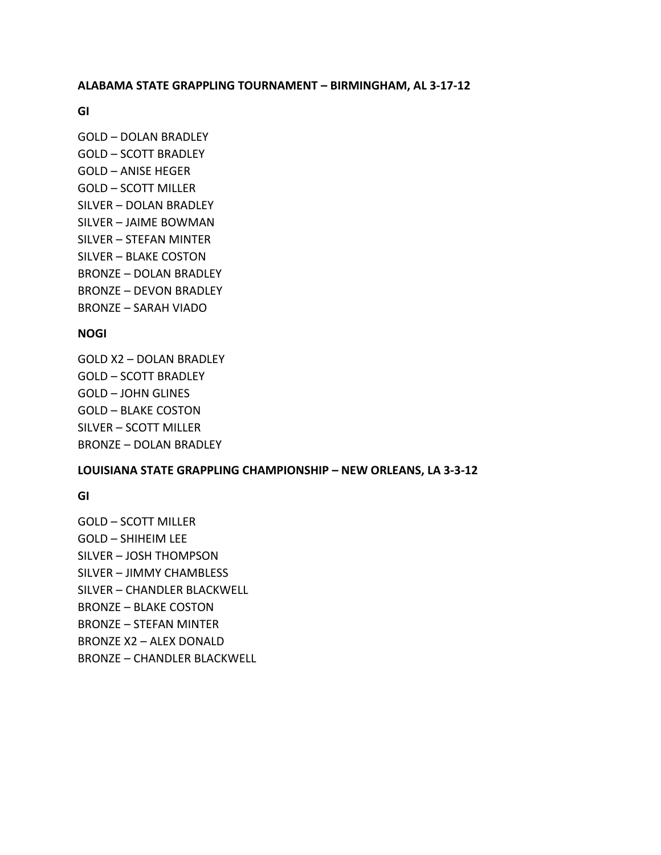**ALABAMA STATE GRAPPLING TOURNAMENT – BIRMINGHAM, AL 3-17-12** 

**GI**

GOLD – DOLAN BRADLEY GOLD – SCOTT BRADLEY GOLD – ANISE HEGER GOLD – SCOTT MILLER SILVER – DOLAN BRADLEY SILVER – JAIME BOWMAN SILVER – STEFAN MINTER SILVER – BLAKE COSTON BRONZE – DOLAN BRADLEY BRONZE – DEVON BRADLEY BRONZE – SARAH VIADO

## **NOGI**

GOLD X2 – DOLAN BRADLEY GOLD – SCOTT BRADLEY GOLD – JOHN GLINES GOLD – BLAKE COSTON SILVER – SCOTT MILLER BRONZE – DOLAN BRADLEY

## **LOUISIANA STATE GRAPPLING CHAMPIONSHIP – NEW ORLEANS, LA 3-3-12**

**GI**

GOLD – SCOTT MILLER GOLD – SHIHEIM LEE SILVER – JOSH THOMPSON SILVER – JIMMY CHAMBLESS SILVER – CHANDLER BLACKWELL BRONZE – BLAKE COSTON BRONZE – STEFAN MINTER BRONZE X2 – ALEX DONALD BRONZE – CHANDLER BLACKWELL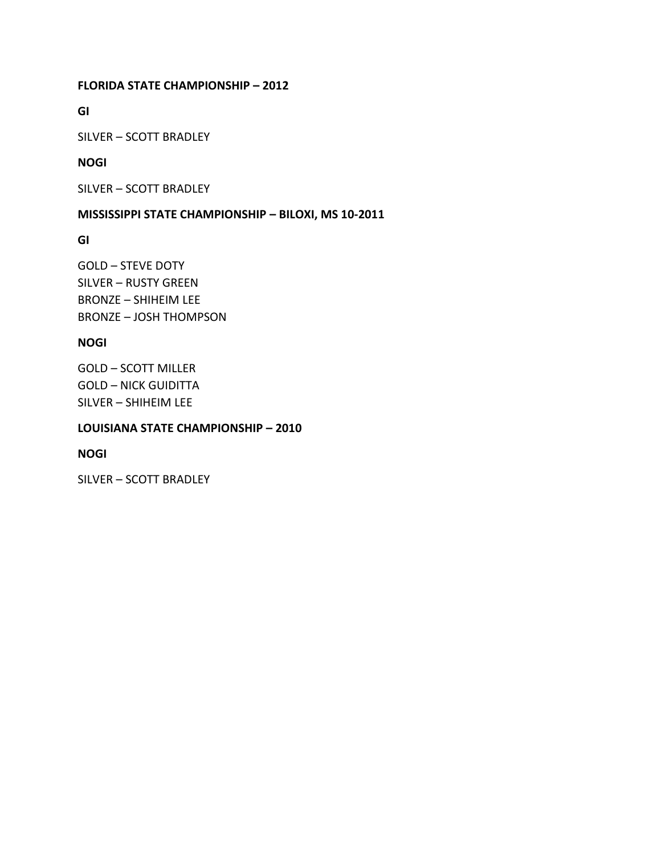# **FLORIDA STATE CHAMPIONSHIP – 2012**

**GI** 

SILVER – SCOTT BRADLEY

# **NOGI**

SILVER – SCOTT BRADLEY

# **MISSISSIPPI STATE CHAMPIONSHIP – BILOXI, MS 10-2011**

**GI**

GOLD – STEVE DOTY SILVER – RUSTY GREEN BRONZE – SHIHEIM LEE BRONZE – JOSH THOMPSON

# **NOGI**

GOLD – SCOTT MILLER GOLD – NICK GUIDITTA SILVER – SHIHEIM LEE

# **LOUISIANA STATE CHAMPIONSHIP – 2010**

# **NOGI**

SILVER – SCOTT BRADLEY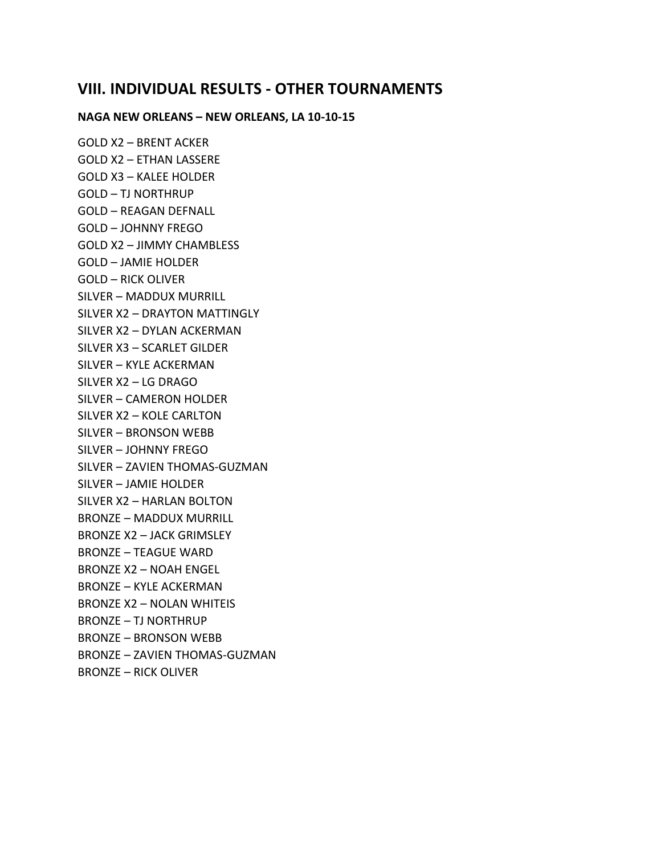# **VIII. INDIVIDUAL RESULTS - OTHER TOURNAMENTS**

#### **NAGA NEW ORLEANS – NEW ORLEANS, LA 10-10-15**

GOLD X2 – BRENT ACKER GOLD X2 – ETHAN LASSERE GOLD X3 – KALEE HOLDER GOLD – TJ NORTHRUP GOLD – REAGAN DEFNALL GOLD – JOHNNY FREGO GOLD X2 – JIMMY CHAMBLESS GOLD – JAMIE HOLDER GOLD – RICK OLIVER SILVER – MADDUX MURRILL SILVER X2 – DRAYTON MATTINGLY SILVER X2 – DYLAN ACKERMAN SILVER X3 – SCARLET GILDER SILVER – KYLE ACKERMAN SILVER X2 – LG DRAGO SILVER – CAMERON HOLDER SILVER X2 – KOLE CARLTON SILVER – BRONSON WEBB SILVER – JOHNNY FREGO SILVER – ZAVIEN THOMAS-GUZMAN SILVER – JAMIE HOLDER SILVER X2 – HARLAN BOLTON BRONZE – MADDUX MURRILL BRONZE X2 – JACK GRIMSLEY BRONZE – TEAGUE WARD BRONZE X2 – NOAH ENGEL BRONZE – KYLE ACKERMAN BRONZE X2 – NOLAN WHITEIS BRONZE – TJ NORTHRUP BRONZE – BRONSON WEBB BRONZE – ZAVIEN THOMAS-GUZMAN BRONZE – RICK OLIVER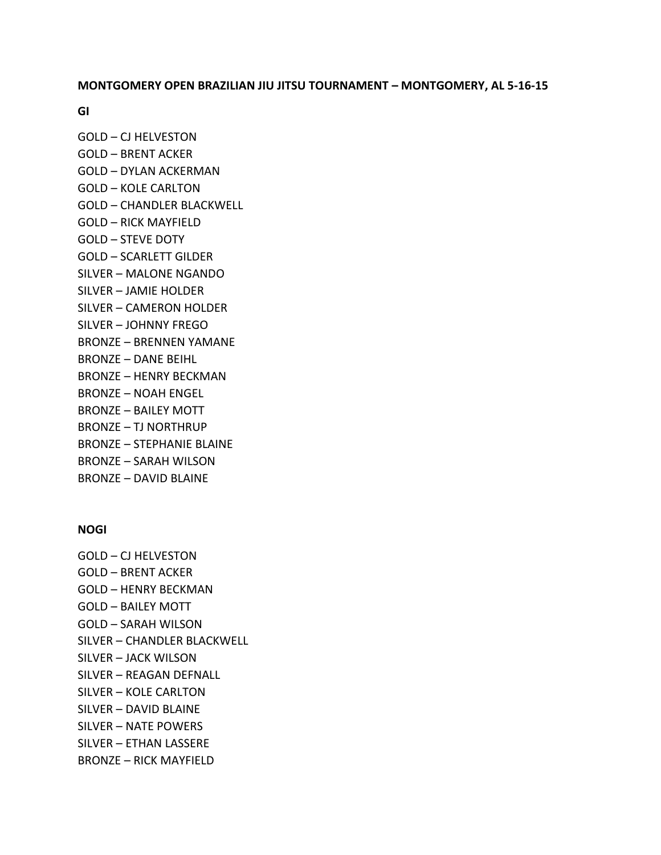#### **MONTGOMERY OPEN BRAZILIAN JIU JITSU TOURNAMENT – MONTGOMERY, AL 5-16-15**

**GI**

GOLD – CJ HELVESTON GOLD – BRENT ACKER GOLD – DYLAN ACKERMAN GOLD – KOLE CARLTON GOLD – CHANDLER BLACKWELL GOLD – RICK MAYFIELD GOLD – STEVE DOTY GOLD – SCARLETT GILDER SILVER – MALONE NGANDO SILVER – JAMIE HOLDER SILVER – CAMERON HOLDER SILVER – JOHNNY FREGO BRONZE – BRENNEN YAMANE BRONZE – DANE BEIHL BRONZE – HENRY BECKMAN BRONZE – NOAH ENGEL BRONZE – BAILEY MOTT BRONZE – TJ NORTHRUP BRONZE – STEPHANIE BLAINE BRONZE – SARAH WILSON BRONZE – DAVID BLAINE

## **NOGI**

GOLD – CJ HELVESTON GOLD – BRENT ACKER GOLD – HENRY BECKMAN GOLD – BAILEY MOTT GOLD – SARAH WILSON SILVER – CHANDLER BLACKWELL SILVER – JACK WILSON SILVER – REAGAN DEFNALL SILVER – KOLE CARLTON SILVER – DAVID BLAINE SILVER – NATE POWERS SILVER – ETHAN LASSERE BRONZE – RICK MAYFIELD